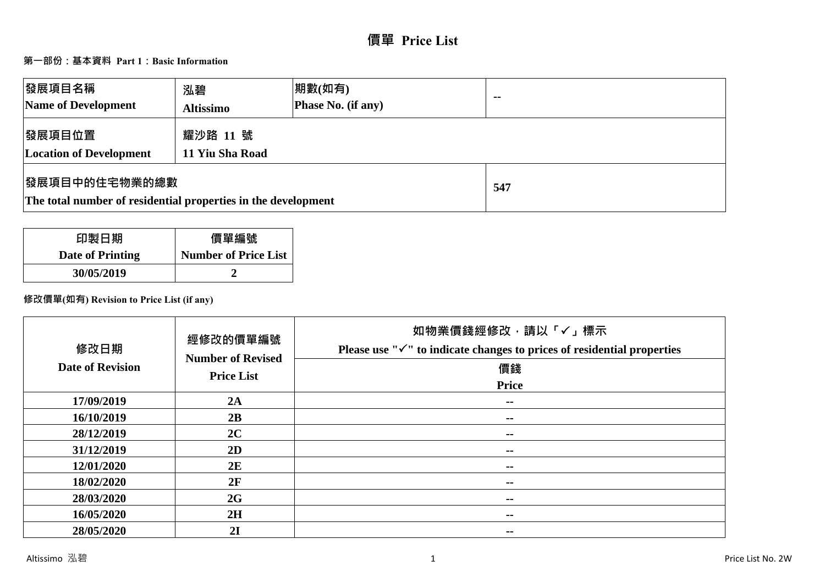# **價單 Price List**

# **第一部份:基本資料 Part 1:Basic Information**

| 發展項目名稱<br>Name of Development                                                          | 泓碧<br><b>Altissimo</b>      | 期數(如有)<br><b>Phase No. (if any)</b> | $-$ |
|----------------------------------------------------------------------------------------|-----------------------------|-------------------------------------|-----|
| 發展項目位置<br><b>Location of Development</b>                                               | 耀沙路 11 號<br>11 Yiu Sha Road |                                     |     |
| <b> 發展項目中的住宅物業的總數</b><br>The total number of residential properties in the development |                             | 547                                 |     |

| 印製日期             | 價單編號                        |
|------------------|-----------------------------|
| Date of Printing | <b>Number of Price List</b> |
| 30/05/2019       |                             |

## **修改價單(如有) Revision to Price List (if any)**

| 修改日期<br><b>Date of Revision</b> | 經修改的價單編號<br><b>Number of Revised</b><br><b>Price List</b> | 如物業價錢經修改,請以「✓」標示<br>Please use " $\checkmark$ " to indicate changes to prices of residential properties<br>價錢<br><b>Price</b> |
|---------------------------------|-----------------------------------------------------------|-------------------------------------------------------------------------------------------------------------------------------|
| 17/09/2019                      | 2A                                                        | $\sim$                                                                                                                        |
| 16/10/2019                      | 2B                                                        | $\sim$ $-$                                                                                                                    |
| 28/12/2019                      | 2C                                                        | $\sim$                                                                                                                        |
| 31/12/2019                      | 2D                                                        | $\sim$ $-$                                                                                                                    |
| 12/01/2020                      | 2E                                                        | --                                                                                                                            |
| 18/02/2020                      | 2F                                                        | $\sim$ $-$                                                                                                                    |
| 28/03/2020                      | 2G                                                        | $\sim$ $-$                                                                                                                    |
| 16/05/2020                      | 2H                                                        | $\sim$ $-$                                                                                                                    |
| 28/05/2020                      | 2I                                                        | --                                                                                                                            |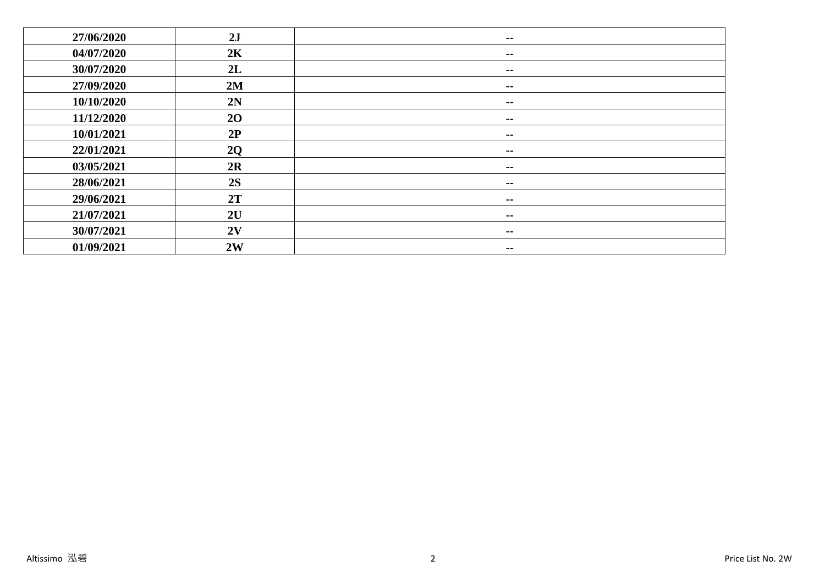| 27/06/2020 | 2J | $\overline{\phantom{a}}$ |
|------------|----|--------------------------|
| 04/07/2020 | 2K | $\overline{\phantom{a}}$ |
| 30/07/2020 | 2L | $\overline{\phantom{a}}$ |
| 27/09/2020 | 2M | $\sim$ $-$               |
| 10/10/2020 | 2N | $\sim$ $-$               |
| 11/12/2020 | 20 | $- -$                    |
| 10/01/2021 | 2P | $\sim$ $\sim$            |
| 22/01/2021 | 2Q | $\sim$ $-$               |
| 03/05/2021 | 2R | $\sim$ $-$               |
| 28/06/2021 | 2S | $\overline{\phantom{a}}$ |
| 29/06/2021 | 2T | $\sim$ $-$               |
| 21/07/2021 | 2U | $\sim$ $-$               |
| 30/07/2021 | 2V | $\sim$ $-$               |
| 01/09/2021 | 2W | --                       |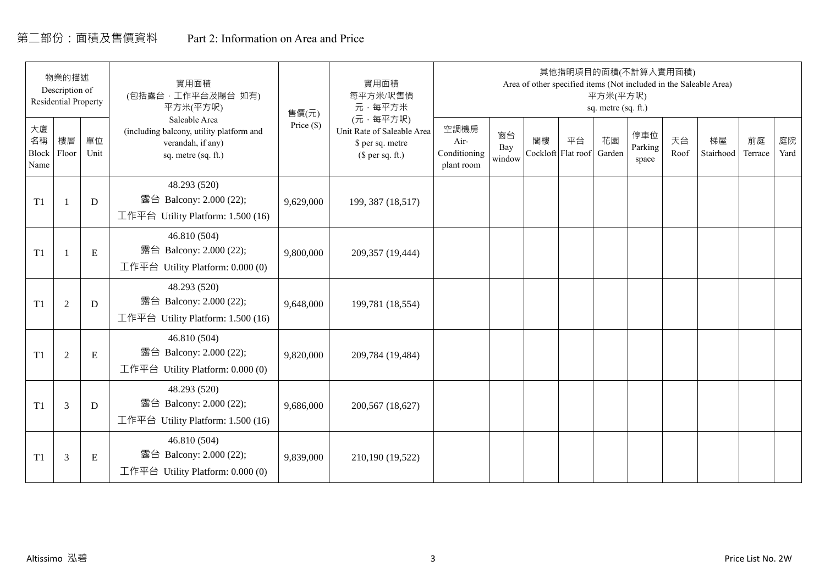# 第二部份:面積及售價資料 Part 2: Information on Area and Price

|                           | 物業的描述<br>Description of<br><b>Residential Property</b> |            | 實用面積<br>(包括露台,工作平台及陽台 如有)<br>平方米(平方呎)                                                                 | 售價(元)        | 實用面積<br>每平方米/呎售價<br>元·每平方米                                                     |                                            |                     |    |                          | 平方米(平方呎)<br>sq. metre (sq. ft.) | 其他指明項目的面積(不計算入實用面積)     |            | Area of other specified items (Not included in the Saleable Area) |               |            |
|---------------------------|--------------------------------------------------------|------------|-------------------------------------------------------------------------------------------------------|--------------|--------------------------------------------------------------------------------|--------------------------------------------|---------------------|----|--------------------------|---------------------------------|-------------------------|------------|-------------------------------------------------------------------|---------------|------------|
| 大廈<br>名稱<br>Block<br>Name | 樓層<br>Floor                                            | 單位<br>Unit | Saleable Area<br>(including balcony, utility platform and<br>verandah, if any)<br>sq. metre (sq. ft.) | Price $(\$)$ | (元·每平方呎)<br>Unit Rate of Saleable Area<br>\$ per sq. metre<br>$$$ per sq. ft.) | 空調機房<br>Air-<br>Conditioning<br>plant room | 窗台<br>Bay<br>window | 閣樓 | 平台<br>Cockloft Flat roof | 花園<br>Garden                    | 停車位<br>Parking<br>space | 天台<br>Roof | 梯屋<br>Stairhood                                                   | 前庭<br>Terrace | 庭院<br>Yard |
| T1                        |                                                        | D          | 48.293 (520)<br>露台 Balcony: 2.000 (22);<br>工作平台 Utility Platform: 1.500 (16)                          | 9,629,000    | 199, 387 (18,517)                                                              |                                            |                     |    |                          |                                 |                         |            |                                                                   |               |            |
| T1                        |                                                        | ${\bf E}$  | 46.810 (504)<br>露台 Balcony: 2.000 (22);<br>工作平台 Utility Platform: $0.000(0)$                          | 9,800,000    | 209,357 (19,444)                                                               |                                            |                     |    |                          |                                 |                         |            |                                                                   |               |            |
| T1                        | $\overline{2}$                                         | D          | 48.293 (520)<br>露台 Balcony: 2.000 (22);<br>工作平台 Utility Platform: 1.500 (16)                          | 9,648,000    | 199,781 (18,554)                                                               |                                            |                     |    |                          |                                 |                         |            |                                                                   |               |            |
| T1                        | 2                                                      | ${\bf E}$  | 46.810 (504)<br>露台 Balcony: 2.000 (22);<br>工作平台 Utility Platform: 0.000 (0)                           | 9,820,000    | 209,784 (19,484)                                                               |                                            |                     |    |                          |                                 |                         |            |                                                                   |               |            |
| T1                        | 3                                                      | D          | 48.293 (520)<br>露台 Balcony: 2.000 (22);<br>工作平台 Utility Platform: $1.500(16)$                         | 9,686,000    | 200,567 (18,627)                                                               |                                            |                     |    |                          |                                 |                         |            |                                                                   |               |            |
| T1                        | 3                                                      | Ε          | 46.810 (504)<br>露台 Balcony: 2.000 (22);<br>工作平台 Utility Platform: $0.000(0)$                          | 9,839,000    | 210,190 (19,522)                                                               |                                            |                     |    |                          |                                 |                         |            |                                                                   |               |            |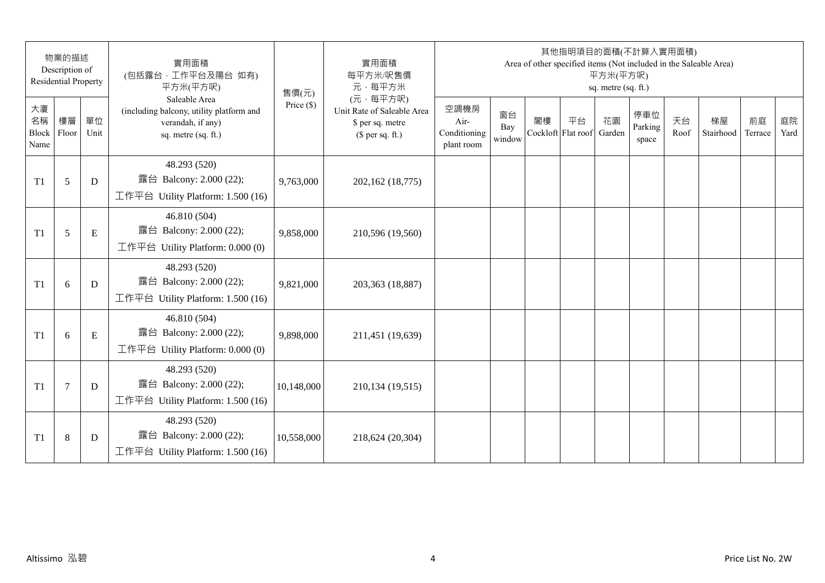|                                 | 物業的描述<br>Description of<br><b>Residential Property</b> |            | 實用面積<br>(包括露台, 工作平台及陽台 如有)<br>平方米(平方呎)                                                                | 售價(元)        | 實用面積<br>每平方米/呎售價<br>元·每平方米                                                     |                                            |                     |                          | 其他指明項目的面積(不計算入實用面積) | 平方米(平方呎)<br>sq. metre (sq. ft.) |                         |            | Area of other specified items (Not included in the Saleable Area) |               |            |
|---------------------------------|--------------------------------------------------------|------------|-------------------------------------------------------------------------------------------------------|--------------|--------------------------------------------------------------------------------|--------------------------------------------|---------------------|--------------------------|---------------------|---------------------------------|-------------------------|------------|-------------------------------------------------------------------|---------------|------------|
| 大廈<br>名稱<br>Block Floor<br>Name | 樓層                                                     | 單位<br>Unit | Saleable Area<br>(including balcony, utility platform and<br>verandah, if any)<br>sq. metre (sq. ft.) | Price $(\$)$ | (元·每平方呎)<br>Unit Rate of Saleable Area<br>\$ per sq. metre<br>$$$ per sq. ft.) | 空調機房<br>Air-<br>Conditioning<br>plant room | 窗台<br>Bay<br>window | 閣樓<br>Cockloft Flat roof | 平台                  | 花園<br>Garden                    | 停車位<br>Parking<br>space | 天台<br>Roof | 梯屋<br>Stairhood                                                   | 前庭<br>Terrace | 庭院<br>Yard |
| T1                              | 5                                                      | D          | 48.293 (520)<br>露台 Balcony: 2.000 (22);<br>工作平台 Utility Platform: 1.500 (16)                          | 9,763,000    | 202,162 (18,775)                                                               |                                            |                     |                          |                     |                                 |                         |            |                                                                   |               |            |
| T1                              | 5                                                      | E          | 46.810 (504)<br>露台 Balcony: 2.000 (22);<br>工作平台 Utility Platform: 0.000 (0)                           | 9,858,000    | 210,596 (19,560)                                                               |                                            |                     |                          |                     |                                 |                         |            |                                                                   |               |            |
| T1                              | 6                                                      | D          | 48.293 (520)<br>露台 Balcony: 2.000 (22);<br>工作平台 Utility Platform: 1.500 (16)                          | 9,821,000    | 203,363 (18,887)                                                               |                                            |                     |                          |                     |                                 |                         |            |                                                                   |               |            |
| T1                              | 6                                                      | ${\bf E}$  | 46.810 (504)<br>露台 Balcony: 2.000 (22);<br>工作平台 Utility Platform: 0.000 (0)                           | 9,898,000    | 211,451 (19,639)                                                               |                                            |                     |                          |                     |                                 |                         |            |                                                                   |               |            |
| T1                              | $\tau$                                                 | D          | 48.293 (520)<br>露台 Balcony: 2.000 (22);<br>工作平台 Utility Platform: 1.500 (16)                          | 10,148,000   | 210,134 (19,515)                                                               |                                            |                     |                          |                     |                                 |                         |            |                                                                   |               |            |
| T1                              | $\,8\,$                                                | D          | 48.293 (520)<br>露台 Balcony: 2.000 (22);<br>工作平台 Utility Platform: 1.500 (16)                          | 10,558,000   | 218,624 (20,304)                                                               |                                            |                     |                          |                     |                                 |                         |            |                                                                   |               |            |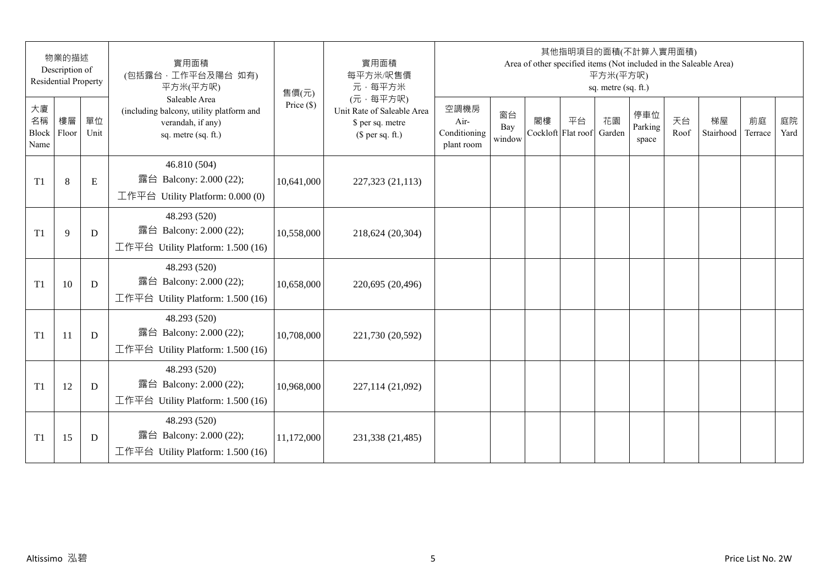|                           | 物業的描述<br>Description of<br><b>Residential Property</b> |             | 實用面積<br>(包括露台,工作平台及陽台 如有)<br>平方米(平方呎)                                                                 | 售價(元)        | 實用面積<br>每平方米/呎售價<br>元·每平方米                                                     |                                            |                     |    | 其他指明項目的面積(不計算入實用面積)      | 平方米(平方呎)<br>sq. metre (sq. ft.) |                         |            | Area of other specified items (Not included in the Saleable Area) |               |            |
|---------------------------|--------------------------------------------------------|-------------|-------------------------------------------------------------------------------------------------------|--------------|--------------------------------------------------------------------------------|--------------------------------------------|---------------------|----|--------------------------|---------------------------------|-------------------------|------------|-------------------------------------------------------------------|---------------|------------|
| 大廈<br>名稱<br>Block<br>Name | 樓層<br>Floor                                            | 單位<br>Unit  | Saleable Area<br>(including balcony, utility platform and<br>verandah, if any)<br>sq. metre (sq. ft.) | Price $(\$)$ | (元·每平方呎)<br>Unit Rate of Saleable Area<br>\$ per sq. metre<br>$$$ per sq. ft.) | 空調機房<br>Air-<br>Conditioning<br>plant room | 窗台<br>Bay<br>window | 閣樓 | 平台<br>Cockloft Flat roof | 花園<br>Garden                    | 停車位<br>Parking<br>space | 天台<br>Roof | 梯屋<br>Stairhood                                                   | 前庭<br>Terrace | 庭院<br>Yard |
| T <sub>1</sub>            | 8                                                      | $\mathbf E$ | 46.810 (504)<br>露台 Balcony: 2.000 (22);<br>工作平台 Utility Platform: 0.000 (0)                           | 10,641,000   | 227,323 (21,113)                                                               |                                            |                     |    |                          |                                 |                         |            |                                                                   |               |            |
| T1                        | 9                                                      | D           | 48.293 (520)<br>露台 Balcony: 2.000 (22);<br>工作平台 Utility Platform: 1.500 (16)                          | 10,558,000   | 218,624 (20,304)                                                               |                                            |                     |    |                          |                                 |                         |            |                                                                   |               |            |
| T1                        | 10                                                     | D           | 48.293 (520)<br>露台 Balcony: 2.000 (22);<br>工作平台 Utility Platform: 1.500 (16)                          | 10,658,000   | 220,695 (20,496)                                                               |                                            |                     |    |                          |                                 |                         |            |                                                                   |               |            |
| T1                        | 11                                                     | D           | 48.293 (520)<br>露台 Balcony: 2.000 (22);<br>工作平台 Utility Platform: 1.500 (16)                          | 10,708,000   | 221,730 (20,592)                                                               |                                            |                     |    |                          |                                 |                         |            |                                                                   |               |            |
| T1                        | 12                                                     | D           | 48.293 (520)<br>露台 Balcony: 2.000 (22);<br>工作平台 Utility Platform: 1.500 (16)                          | 10,968,000   | 227,114 (21,092)                                                               |                                            |                     |    |                          |                                 |                         |            |                                                                   |               |            |
| T <sub>1</sub>            | 15                                                     | D           | 48.293 (520)<br>露台<br>Balcony: 2.000 (22);<br>工作平台 Utility Platform: 1.500 (16)                       | 11,172,000   | 231,338 (21,485)                                                               |                                            |                     |    |                          |                                 |                         |            |                                                                   |               |            |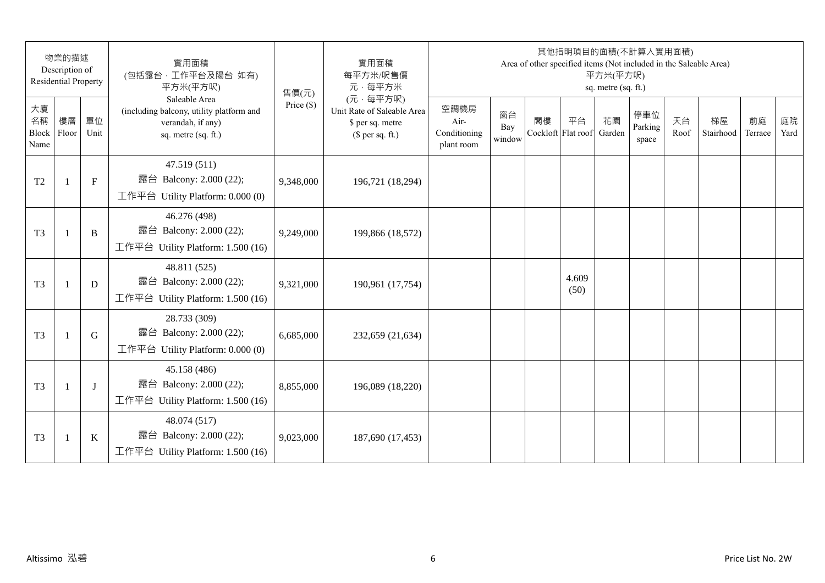|                                 | 物業的描述<br>Description of<br><b>Residential Property</b> |              | 實用面積<br>(包括露台,工作平台及陽台 如有)<br>平方米(平方呎)                                                                 | 售價(元)        | 實用面積<br>每平方米/呎售價<br>元·每平方米                                                     |                                            |                     |                          | 其他指明項目的面積(不計算入實用面積)<br>Area of other specified items (Not included in the Saleable Area) | 平方米(平方呎)<br>sq. metre (sq. ft.) |                         |            |                 |               |            |
|---------------------------------|--------------------------------------------------------|--------------|-------------------------------------------------------------------------------------------------------|--------------|--------------------------------------------------------------------------------|--------------------------------------------|---------------------|--------------------------|------------------------------------------------------------------------------------------|---------------------------------|-------------------------|------------|-----------------|---------------|------------|
| 大廈<br>名稱<br>Block Floor<br>Name | 樓層                                                     | 單位<br>Unit   | Saleable Area<br>(including balcony, utility platform and<br>verandah, if any)<br>sq. metre (sq. ft.) | Price $(\$)$ | (元·每平方呎)<br>Unit Rate of Saleable Area<br>\$ per sq. metre<br>$$$ per sq. ft.) | 空調機房<br>Air-<br>Conditioning<br>plant room | 窗台<br>Bay<br>window | 閣樓<br>Cockloft Flat roof | 平台                                                                                       | 花園<br>Garden                    | 停車位<br>Parking<br>space | 天台<br>Roof | 梯屋<br>Stairhood | 前庭<br>Terrace | 庭院<br>Yard |
| T <sub>2</sub>                  | $\overline{1}$                                         | $\mathbf{F}$ | 47.519(511)<br>露台 Balcony: 2.000 (22);<br>工作平台 Utility Platform: 0.000 (0)                            | 9,348,000    | 196,721 (18,294)                                                               |                                            |                     |                          |                                                                                          |                                 |                         |            |                 |               |            |
| T <sub>3</sub>                  | $\mathbf{1}$                                           | $\, {\bf B}$ | 46.276 (498)<br>露台 Balcony: 2.000 (22);<br>工作平台 Utility Platform: 1.500 (16)                          | 9,249,000    | 199,866 (18,572)                                                               |                                            |                     |                          |                                                                                          |                                 |                         |            |                 |               |            |
| T <sub>3</sub>                  | -1                                                     | D            | 48.811 (525)<br>露台 Balcony: 2.000 (22);<br>工作平台 Utility Platform: 1.500 (16)                          | 9,321,000    | 190,961 (17,754)                                                               |                                            |                     |                          | 4.609<br>(50)                                                                            |                                 |                         |            |                 |               |            |
| T <sub>3</sub>                  | 1                                                      | G            | 28.733 (309)<br>露台 Balcony: 2.000 (22);<br>工作平台 Utility Platform: $0.000(0)$                          | 6,685,000    | 232,659 (21,634)                                                               |                                            |                     |                          |                                                                                          |                                 |                         |            |                 |               |            |
| T <sub>3</sub>                  |                                                        | J            | 45.158 (486)<br>露台 Balcony: 2.000 (22);<br>工作平台 Utility Platform: 1.500 (16)                          | 8,855,000    | 196,089 (18,220)                                                               |                                            |                     |                          |                                                                                          |                                 |                         |            |                 |               |            |
| T <sub>3</sub>                  | $\mathbf{1}$                                           | $\bf K$      | 48.074 (517)<br>露台 Balcony: 2.000 (22);<br>工作平台 Utility Platform: 1.500 (16)                          | 9,023,000    | 187,690 (17,453)                                                               |                                            |                     |                          |                                                                                          |                                 |                         |            |                 |               |            |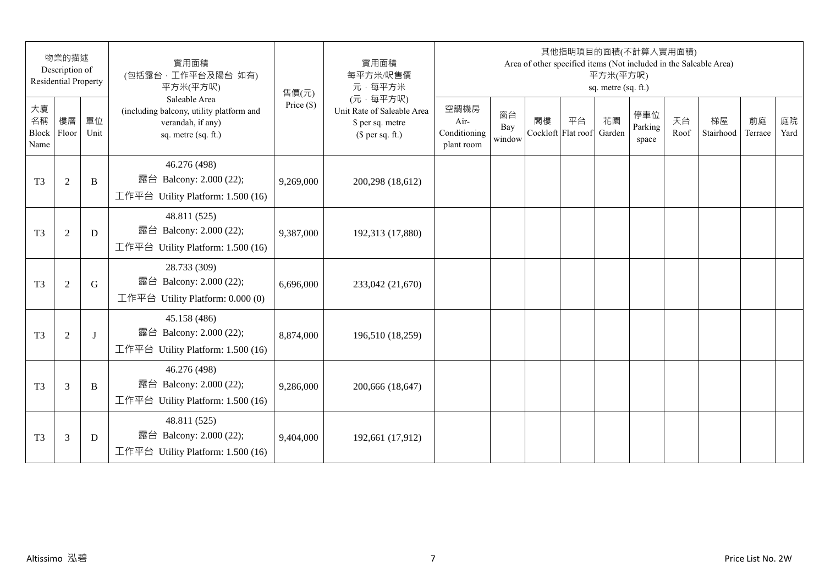|                           | 物業的描述<br>Description of<br><b>Residential Property</b> |              | 實用面積<br>(包括露台,工作平台及陽台 如有)<br>平方米(平方呎)                                                                 | 售價(元)        | 實用面積<br>每平方米/呎售價<br>元·每平方米                                                     |                                            |                     |    | 其他指明項目的面積(不計算入實用面積)      | 平方米(平方呎)<br>sq. metre (sq. ft.) |                         |            | Area of other specified items (Not included in the Saleable Area) |               |            |
|---------------------------|--------------------------------------------------------|--------------|-------------------------------------------------------------------------------------------------------|--------------|--------------------------------------------------------------------------------|--------------------------------------------|---------------------|----|--------------------------|---------------------------------|-------------------------|------------|-------------------------------------------------------------------|---------------|------------|
| 大廈<br>名稱<br>Block<br>Name | 樓層<br>Floor                                            | 單位<br>Unit   | Saleable Area<br>(including balcony, utility platform and<br>verandah, if any)<br>sq. metre (sq. ft.) | Price $(\$)$ | (元·每平方呎)<br>Unit Rate of Saleable Area<br>\$ per sq. metre<br>$$$ per sq. ft.) | 空調機房<br>Air-<br>Conditioning<br>plant room | 窗台<br>Bay<br>window | 閣樓 | 平台<br>Cockloft Flat roof | 花園<br>Garden                    | 停車位<br>Parking<br>space | 天台<br>Roof | 梯屋<br>Stairhood                                                   | 前庭<br>Terrace | 庭院<br>Yard |
| T <sub>3</sub>            | $\overline{2}$                                         | B            | 46.276 (498)<br>露台 Balcony: 2.000 (22);<br>工作平台 Utility Platform: 1.500 (16)                          | 9,269,000    | 200,298 (18,612)                                                               |                                            |                     |    |                          |                                 |                         |            |                                                                   |               |            |
| T <sub>3</sub>            | $\overline{2}$                                         | D            | 48.811 (525)<br>露台 Balcony: 2.000 (22);<br>工作平台 Utility Platform: 1.500 (16)                          | 9,387,000    | 192,313 (17,880)                                                               |                                            |                     |    |                          |                                 |                         |            |                                                                   |               |            |
| T <sub>3</sub>            | $\overline{2}$                                         | G            | 28.733 (309)<br>露台 Balcony: 2.000 (22);<br>工作平台 Utility Platform: 0.000 (0)                           | 6,696,000    | 233,042 (21,670)                                                               |                                            |                     |    |                          |                                 |                         |            |                                                                   |               |            |
| T <sub>3</sub>            | $\overline{2}$                                         | $\mathbf{I}$ | 45.158 (486)<br>露台 Balcony: 2.000 (22);<br>工作平台 Utility Platform: 1.500 (16)                          | 8,874,000    | 196,510 (18,259)                                                               |                                            |                     |    |                          |                                 |                         |            |                                                                   |               |            |
| T <sub>3</sub>            | 3                                                      | B            | 46.276 (498)<br>露台 Balcony: 2.000 (22);<br>工作平台 Utility Platform: 1.500 (16)                          | 9,286,000    | 200,666 (18,647)                                                               |                                            |                     |    |                          |                                 |                         |            |                                                                   |               |            |
| T <sub>3</sub>            | 3                                                      | D            | 48.811 (525)<br>露台 Balcony: 2.000 (22);<br>工作平台 Utility Platform: $1.500(16)$                         | 9,404,000    | 192,661 (17,912)                                                               |                                            |                     |    |                          |                                 |                         |            |                                                                   |               |            |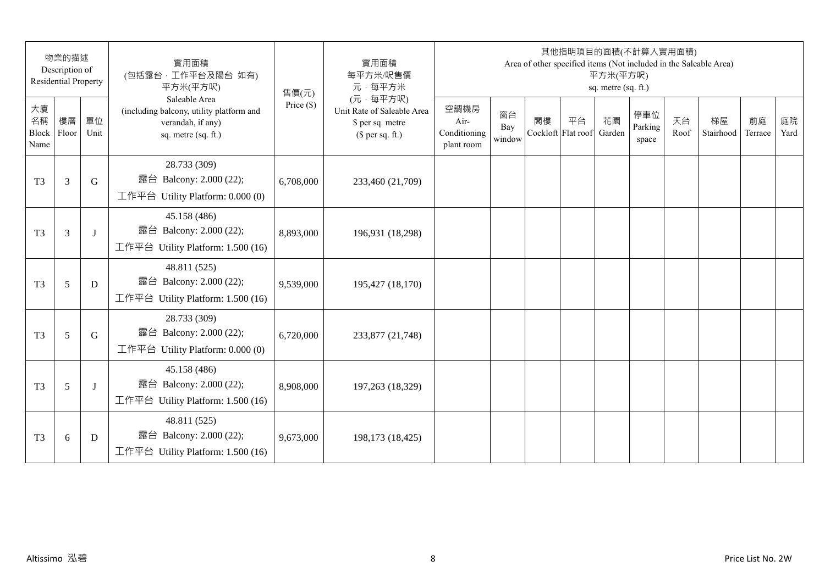|                                 | 物業的描述<br>Description of<br><b>Residential Property</b> |            | 實用面積<br>(包括露台,工作平台及陽台 如有)<br>平方米(平方呎)                                                                 | 售價(元)        | 實用面積<br>每平方米/呎售價<br>元·每平方米                                                     |                                            |                     |                          | 其他指明項目的面積(不計算入實用面積)<br>Area of other specified items (Not included in the Saleable Area) | 平方米(平方呎)<br>sq. metre (sq. ft.) |                         |            |                 |               |            |
|---------------------------------|--------------------------------------------------------|------------|-------------------------------------------------------------------------------------------------------|--------------|--------------------------------------------------------------------------------|--------------------------------------------|---------------------|--------------------------|------------------------------------------------------------------------------------------|---------------------------------|-------------------------|------------|-----------------|---------------|------------|
| 大廈<br>名稱<br>Block Floor<br>Name | 樓層                                                     | 單位<br>Unit | Saleable Area<br>(including balcony, utility platform and<br>verandah, if any)<br>sq. metre (sq. ft.) | Price $(\$)$ | (元·每平方呎)<br>Unit Rate of Saleable Area<br>\$ per sq. metre<br>$$$ per sq. ft.) | 空調機房<br>Air-<br>Conditioning<br>plant room | 窗台<br>Bay<br>window | 閣樓<br>Cockloft Flat roof | 平台                                                                                       | 花園<br>Garden                    | 停車位<br>Parking<br>space | 天台<br>Roof | 梯屋<br>Stairhood | 前庭<br>Terrace | 庭院<br>Yard |
| T <sub>3</sub>                  | 3                                                      | G          | 28.733 (309)<br>露台 Balcony: 2.000 (22);<br>工作平台 Utility Platform: 0.000 (0)                           | 6,708,000    | 233,460 (21,709)                                                               |                                            |                     |                          |                                                                                          |                                 |                         |            |                 |               |            |
| T <sub>3</sub>                  | 3                                                      | J          | 45.158 (486)<br>露台 Balcony: 2.000 (22);<br>工作平台 Utility Platform: 1.500 (16)                          | 8,893,000    | 196,931 (18,298)                                                               |                                            |                     |                          |                                                                                          |                                 |                         |            |                 |               |            |
| T <sub>3</sub>                  | 5                                                      | D          | 48.811 (525)<br>露台 Balcony: 2.000 (22);<br>工作平台 Utility Platform: 1.500 (16)                          | 9,539,000    | 195,427 (18,170)                                                               |                                            |                     |                          |                                                                                          |                                 |                         |            |                 |               |            |
| T <sub>3</sub>                  | 5                                                      | G          | 28.733 (309)<br>露台 Balcony: 2.000 (22);<br>工作平台 Utility Platform: 0.000 (0)                           | 6,720,000    | 233,877 (21,748)                                                               |                                            |                     |                          |                                                                                          |                                 |                         |            |                 |               |            |
| T <sub>3</sub>                  | 5                                                      | J          | 45.158 (486)<br>露台 Balcony: 2.000 (22);<br>工作平台 Utility Platform: 1.500 (16)                          | 8,908,000    | 197,263 (18,329)                                                               |                                            |                     |                          |                                                                                          |                                 |                         |            |                 |               |            |
| T <sub>3</sub>                  | 6                                                      | D          | 48.811 (525)<br>露台 Balcony: 2.000 (22);<br>工作平台 Utility Platform: $1.500(16)$                         | 9,673,000    | 198,173 (18,425)                                                               |                                            |                     |                          |                                                                                          |                                 |                         |            |                 |               |            |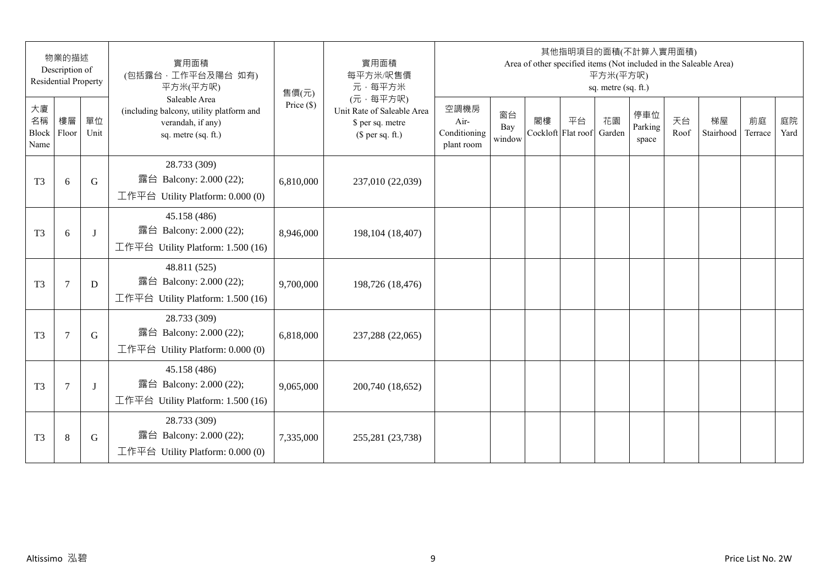|                                 | 物業的描述<br>Description of<br><b>Residential Property</b> |            | 實用面積<br>(包括露台, 工作平台及陽台 如有)<br>平方米(平方呎)                                                                | 售價(元)        | 實用面積<br>每平方米/呎售價<br>元·每平方米                                                     |                                            |                     |                          | 其他指明項目的面積(不計算入實用面積) | 平方米(平方呎)<br>sq. metre (sq. ft.) |                         |            | Area of other specified items (Not included in the Saleable Area) |               |            |
|---------------------------------|--------------------------------------------------------|------------|-------------------------------------------------------------------------------------------------------|--------------|--------------------------------------------------------------------------------|--------------------------------------------|---------------------|--------------------------|---------------------|---------------------------------|-------------------------|------------|-------------------------------------------------------------------|---------------|------------|
| 大廈<br>名稱<br>Block Floor<br>Name | 樓層                                                     | 單位<br>Unit | Saleable Area<br>(including balcony, utility platform and<br>verandah, if any)<br>sq. metre (sq. ft.) | Price $(\$)$ | (元·每平方呎)<br>Unit Rate of Saleable Area<br>\$ per sq. metre<br>$$$ per sq. ft.) | 空調機房<br>Air-<br>Conditioning<br>plant room | 窗台<br>Bay<br>window | 閣樓<br>Cockloft Flat roof | 平台                  | 花園<br>Garden                    | 停車位<br>Parking<br>space | 天台<br>Roof | 梯屋<br>Stairhood                                                   | 前庭<br>Terrace | 庭院<br>Yard |
| T <sub>3</sub>                  | 6                                                      | G          | 28.733 (309)<br>露台 Balcony: 2.000 (22);<br>工作平台 Utility Platform: 0.000 (0)                           | 6,810,000    | 237,010 (22,039)                                                               |                                            |                     |                          |                     |                                 |                         |            |                                                                   |               |            |
| T <sub>3</sub>                  | 6                                                      | $\bf{J}$   | 45.158 (486)<br>露台 Balcony: 2.000 (22);<br>工作平台 Utility Platform: 1.500 (16)                          | 8,946,000    | 198, 104 (18, 407)                                                             |                                            |                     |                          |                     |                                 |                         |            |                                                                   |               |            |
| T <sub>3</sub>                  | $\tau$                                                 | D          | 48.811 (525)<br>露台 Balcony: 2.000 (22);<br>工作平台 Utility Platform: 1.500 (16)                          | 9,700,000    | 198,726 (18,476)                                                               |                                            |                     |                          |                     |                                 |                         |            |                                                                   |               |            |
| T <sub>3</sub>                  | $\overline{7}$                                         | G          | 28.733 (309)<br>露台 Balcony: 2.000 (22);<br>工作平台 Utility Platform: 0.000 (0)                           | 6,818,000    | 237,288 (22,065)                                                               |                                            |                     |                          |                     |                                 |                         |            |                                                                   |               |            |
| T <sub>3</sub>                  | 7                                                      | J          | 45.158 (486)<br>露台 Balcony: 2.000 (22);<br>工作平台 Utility Platform: 1.500 (16)                          | 9,065,000    | 200,740 (18,652)                                                               |                                            |                     |                          |                     |                                 |                         |            |                                                                   |               |            |
| T <sub>3</sub>                  | $\,8\,$                                                | G          | 28.733 (309)<br>露台 Balcony: 2.000 (22);<br>工作平台 Utility Platform: 0.000 (0)                           | 7,335,000    | 255,281 (23,738)                                                               |                                            |                     |                          |                     |                                 |                         |            |                                                                   |               |            |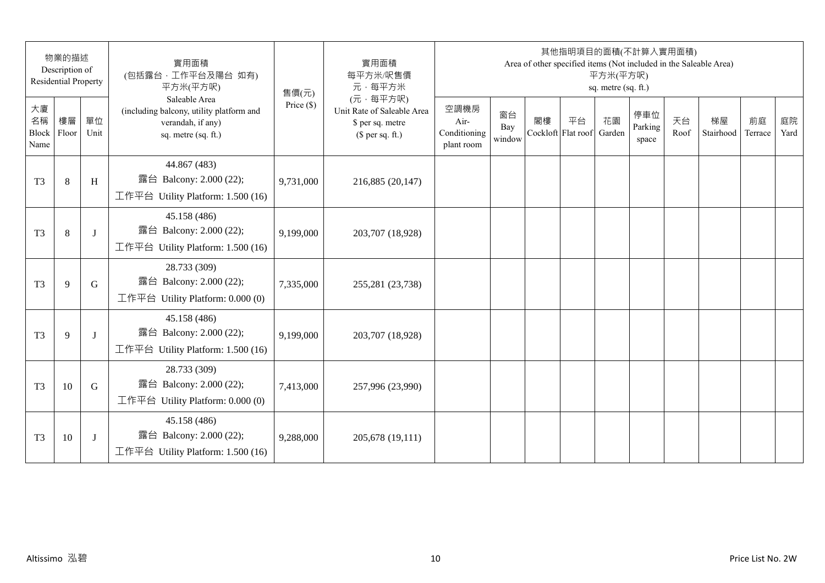|                           | 物業的描述<br>Description of<br><b>Residential Property</b> |            | 實用面積<br>(包括露台,工作平台及陽台 如有)<br>平方米(平方呎)                                                                 | 售價(元)        | 實用面積<br>每平方米/呎售價<br>元·每平方米                                                     |                                            |                     |    | 其他指明項目的面積(不計算入實用面積)      | 平方米(平方呎)<br>sq. metre (sq. ft.) |                         |            | Area of other specified items (Not included in the Saleable Area) |               |            |
|---------------------------|--------------------------------------------------------|------------|-------------------------------------------------------------------------------------------------------|--------------|--------------------------------------------------------------------------------|--------------------------------------------|---------------------|----|--------------------------|---------------------------------|-------------------------|------------|-------------------------------------------------------------------|---------------|------------|
| 大廈<br>名稱<br>Block<br>Name | 樓層<br>Floor                                            | 單位<br>Unit | Saleable Area<br>(including balcony, utility platform and<br>verandah, if any)<br>sq. metre (sq. ft.) | Price $(\$)$ | (元·每平方呎)<br>Unit Rate of Saleable Area<br>\$ per sq. metre<br>$$$ per sq. ft.) | 空調機房<br>Air-<br>Conditioning<br>plant room | 窗台<br>Bay<br>window | 閣樓 | 平台<br>Cockloft Flat roof | 花園<br>Garden                    | 停車位<br>Parking<br>space | 天台<br>Roof | 梯屋<br>Stairhood                                                   | 前庭<br>Terrace | 庭院<br>Yard |
| T <sub>3</sub>            | 8                                                      | H          | 44.867 (483)<br>露台 Balcony: 2.000 (22);<br>工作平台 Utility Platform: 1.500 (16)                          | 9,731,000    | 216,885 (20,147)                                                               |                                            |                     |    |                          |                                 |                         |            |                                                                   |               |            |
| T <sub>3</sub>            | 8                                                      | J          | 45.158 (486)<br>露台 Balcony: 2.000 (22);<br>工作平台 Utility Platform: 1.500 (16)                          | 9,199,000    | 203,707 (18,928)                                                               |                                            |                     |    |                          |                                 |                         |            |                                                                   |               |            |
| T <sub>3</sub>            | 9                                                      | G          | 28.733 (309)<br>露台 Balcony: 2.000 (22);<br>工作平台 Utility Platform: $0.000(0)$                          | 7,335,000    | 255,281 (23,738)                                                               |                                            |                     |    |                          |                                 |                         |            |                                                                   |               |            |
| T <sub>3</sub>            | 9                                                      | J          | 45.158 (486)<br>露台 Balcony: 2.000 (22);<br>工作平台 Utility Platform: 1.500 (16)                          | 9,199,000    | 203,707 (18,928)                                                               |                                            |                     |    |                          |                                 |                         |            |                                                                   |               |            |
| T <sub>3</sub>            | 10                                                     | G          | 28.733 (309)<br>露台 Balcony: 2.000 (22);<br>工作平台 Utility Platform: $0.000(0)$                          | 7,413,000    | 257,996 (23,990)                                                               |                                            |                     |    |                          |                                 |                         |            |                                                                   |               |            |
| T <sub>3</sub>            | 10                                                     | J          | 45.158 (486)<br>露台 Balcony: 2.000 (22);<br>工作平台 Utility Platform: 1.500 (16)                          | 9,288,000    | 205,678 (19,111)                                                               |                                            |                     |    |                          |                                 |                         |            |                                                                   |               |            |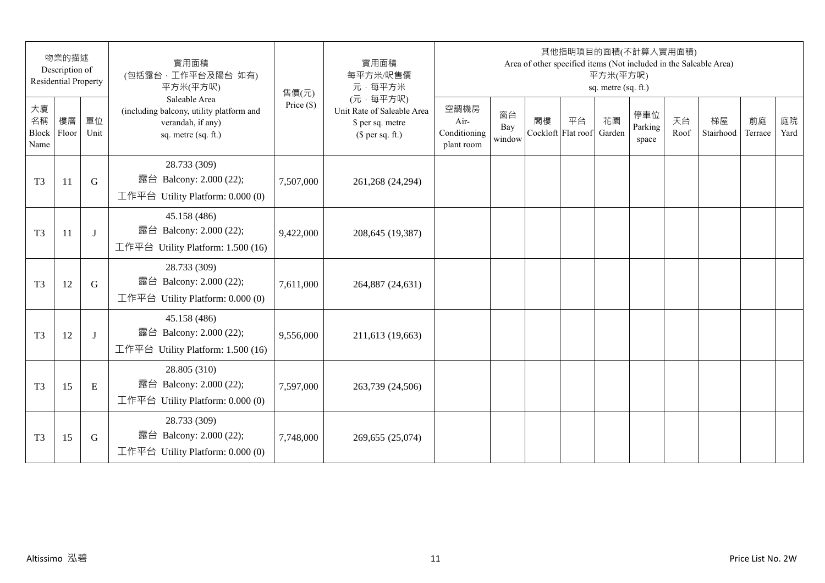| 物業的描述<br>Description of<br><b>Residential Property</b> |    |            | 實用面積<br>(包括露台, 工作平台及陽台 如有)<br>平方米(平方呎)                                                                | 售價(元)        | 實用面積<br>每平方米/呎售價<br>元·每平方米                                                     | 其他指明項目的面積(不計算入實用面積)<br>Area of other specified items (Not included in the Saleable Area)<br>平方米(平方呎)<br>sq. metre (sq. ft.) |                     |                          |    |              |                         |            |                 |               |            |
|--------------------------------------------------------|----|------------|-------------------------------------------------------------------------------------------------------|--------------|--------------------------------------------------------------------------------|-----------------------------------------------------------------------------------------------------------------------------|---------------------|--------------------------|----|--------------|-------------------------|------------|-----------------|---------------|------------|
| 大廈<br>名稱<br>Block Floor<br>Name                        | 樓層 | 單位<br>Unit | Saleable Area<br>(including balcony, utility platform and<br>verandah, if any)<br>sq. metre (sq. ft.) | Price $(\$)$ | (元·每平方呎)<br>Unit Rate of Saleable Area<br>\$ per sq. metre<br>$$$ per sq. ft.) | 空調機房<br>Air-<br>Conditioning<br>plant room                                                                                  | 窗台<br>Bay<br>window | 閣樓<br>Cockloft Flat roof | 平台 | 花園<br>Garden | 停車位<br>Parking<br>space | 天台<br>Roof | 梯屋<br>Stairhood | 前庭<br>Terrace | 庭院<br>Yard |
| T <sub>3</sub>                                         | 11 | G          | 28.733 (309)<br>露台 Balcony: 2.000 (22);<br>工作平台 Utility Platform: 0.000 (0)                           | 7,507,000    | 261,268 (24,294)                                                               |                                                                                                                             |                     |                          |    |              |                         |            |                 |               |            |
| T <sub>3</sub>                                         | 11 | J          | 45.158 (486)<br>露台 Balcony: 2.000 (22);<br>工作平台 Utility Platform: 1.500 (16)                          | 9,422,000    | 208,645 (19,387)                                                               |                                                                                                                             |                     |                          |    |              |                         |            |                 |               |            |
| T <sub>3</sub>                                         | 12 | G          | 28.733 (309)<br>露台 Balcony: 2.000 (22);<br>工作平台 Utility Platform: $0.000(0)$                          | 7,611,000    | 264,887 (24,631)                                                               |                                                                                                                             |                     |                          |    |              |                         |            |                 |               |            |
| T <sub>3</sub>                                         | 12 | J          | 45.158 (486)<br>露台 Balcony: 2.000 (22);<br>工作平台 Utility Platform: 1.500 (16)                          | 9,556,000    | 211,613 (19,663)                                                               |                                                                                                                             |                     |                          |    |              |                         |            |                 |               |            |
| T <sub>3</sub>                                         | 15 | E          | 28.805 (310)<br>露台 Balcony: 2.000 (22);<br>工作平台 Utility Platform: $0.000(0)$                          | 7,597,000    | 263,739 (24,506)                                                               |                                                                                                                             |                     |                          |    |              |                         |            |                 |               |            |
| T <sub>3</sub>                                         | 15 | G          | 28.733 (309)<br>露台 Balcony: 2.000 (22);<br>工作平台 Utility Platform: 0.000 (0)                           | 7,748,000    | 269,655 (25,074)                                                               |                                                                                                                             |                     |                          |    |              |                         |            |                 |               |            |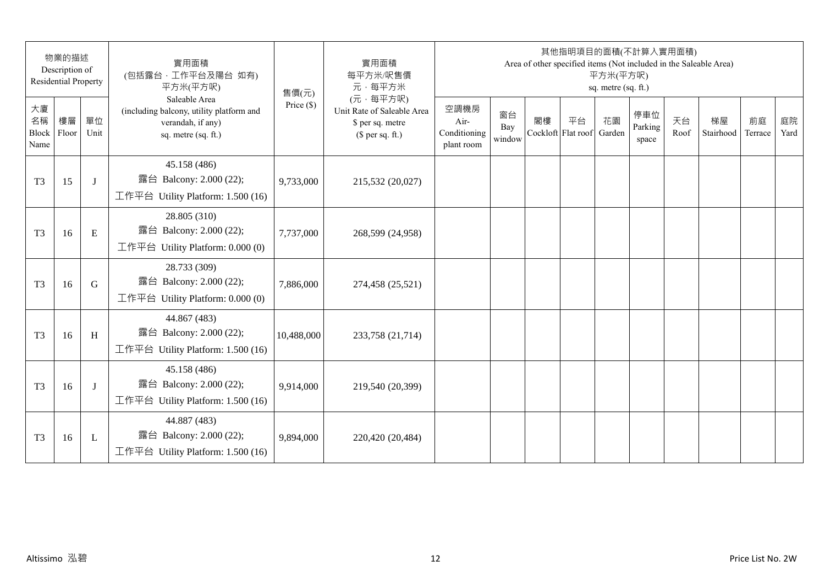| 物業的描述<br>Description of<br><b>Residential Property</b> |             |             | 實用面積<br>(包括露台,工作平台及陽台 如有)<br>平方米(平方呎)                                                                 | 售價(元)        | 實用面積<br>每平方米/呎售價<br>元·每平方米                                                     | 其他指明項目的面積(不計算入實用面積)<br>Area of other specified items (Not included in the Saleable Area)<br>平方米(平方呎)<br>sq. metre (sq. ft.) |                     |    |                          |              |                         |            |                 |               |            |
|--------------------------------------------------------|-------------|-------------|-------------------------------------------------------------------------------------------------------|--------------|--------------------------------------------------------------------------------|-----------------------------------------------------------------------------------------------------------------------------|---------------------|----|--------------------------|--------------|-------------------------|------------|-----------------|---------------|------------|
| 大廈<br>名稱<br>Block<br>Name                              | 樓層<br>Floor | 單位<br>Unit  | Saleable Area<br>(including balcony, utility platform and<br>verandah, if any)<br>sq. metre (sq. ft.) | Price $(\$)$ | (元·每平方呎)<br>Unit Rate of Saleable Area<br>\$ per sq. metre<br>$$$ per sq. ft.) | 空調機房<br>Air-<br>Conditioning<br>plant room                                                                                  | 窗台<br>Bay<br>window | 閣樓 | 平台<br>Cockloft Flat roof | 花園<br>Garden | 停車位<br>Parking<br>space | 天台<br>Roof | 梯屋<br>Stairhood | 前庭<br>Terrace | 庭院<br>Yard |
| T <sub>3</sub>                                         | 15          | J           | 45.158 (486)<br>露台 Balcony: 2.000 (22);<br>工作平台 Utility Platform: 1.500 (16)                          | 9,733,000    | 215,532 (20,027)                                                               |                                                                                                                             |                     |    |                          |              |                         |            |                 |               |            |
| T <sub>3</sub>                                         | 16          | $\mathbf E$ | 28.805 (310)<br>露台 Balcony: 2.000 (22);<br>工作平台 Utility Platform: 0.000 (0)                           | 7,737,000    | 268,599 (24,958)                                                               |                                                                                                                             |                     |    |                          |              |                         |            |                 |               |            |
| T <sub>3</sub>                                         | 16          | $\mathbf G$ | 28.733 (309)<br>露台 Balcony: 2.000 (22);<br>工作平台 Utility Platform: $0.000(0)$                          | 7,886,000    | 274,458 (25,521)                                                               |                                                                                                                             |                     |    |                          |              |                         |            |                 |               |            |
| T <sub>3</sub>                                         | 16          | H           | 44.867 (483)<br>露台 Balcony: 2.000 (22);<br>工作平台 Utility Platform: 1.500 (16)                          | 10,488,000   | 233,758 (21,714)                                                               |                                                                                                                             |                     |    |                          |              |                         |            |                 |               |            |
| T <sub>3</sub>                                         | 16          | J           | 45.158 (486)<br>露台 Balcony: 2.000 (22);<br>工作平台 Utility Platform: $1.500(16)$                         | 9,914,000    | 219,540 (20,399)                                                               |                                                                                                                             |                     |    |                          |              |                         |            |                 |               |            |
| T <sub>3</sub>                                         | 16          | L           | 44.887 (483)<br>露台 Balcony: 2.000 (22);<br>工作平台 Utility Platform: 1.500 (16)                          | 9,894,000    | 220,420 (20,484)                                                               |                                                                                                                             |                     |    |                          |              |                         |            |                 |               |            |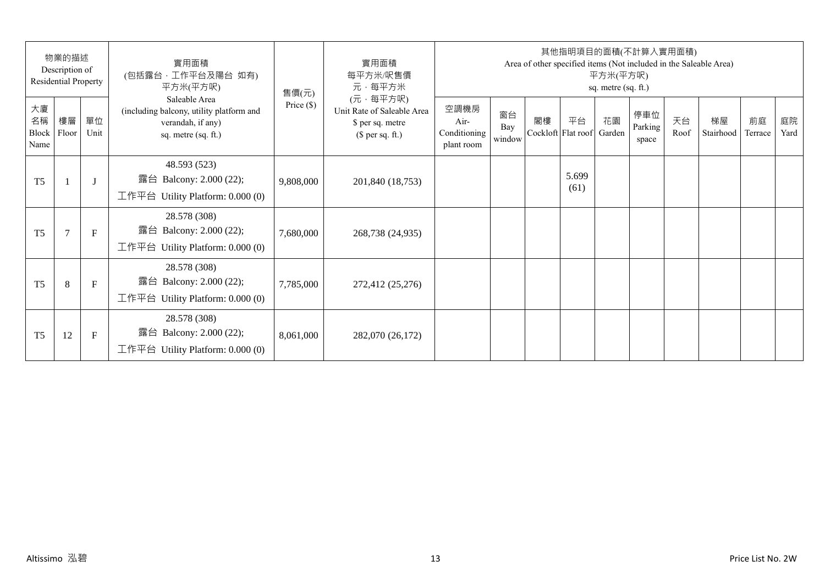| 物業的描述<br>Description of<br>Residential Property |                |              | 實用面積<br>(包括露台,工作平台及陽台 如有)<br>平方米(平方呎)                                                                 | 售價(元)        | 實用面積<br>每平方米/呎售價<br>元·每平方米                                                     | 其他指明項目的面積(不計算入實用面積)<br>Area of other specified items (Not included in the Saleable Area)<br>平方米(平方呎)<br>sq. metre (sq. ft.) |                     |    |                          |              |                         |            |                 |               |            |  |
|-------------------------------------------------|----------------|--------------|-------------------------------------------------------------------------------------------------------|--------------|--------------------------------------------------------------------------------|-----------------------------------------------------------------------------------------------------------------------------|---------------------|----|--------------------------|--------------|-------------------------|------------|-----------------|---------------|------------|--|
| 大廈<br>名稱<br>Block<br>Name                       | 樓層<br>Floor    | 單位<br>Unit   | Saleable Area<br>(including balcony, utility platform and<br>verandah, if any)<br>sq. metre (sq. ft.) | Price $(\$)$ | (元·每平方呎)<br>Unit Rate of Saleable Area<br>\$ per sq. metre<br>$$$ per sq. ft.) | 空調機房<br>$Air-$<br>Conditioning<br>plant room                                                                                | 窗台<br>Bay<br>window | 閣樓 | 平台<br>Cockloft Flat roof | 花園<br>Garden | 停車位<br>Parking<br>space | 天台<br>Roof | 梯屋<br>Stairhood | 前庭<br>Terrace | 庭院<br>Yard |  |
| T <sub>5</sub>                                  |                | $\mathbf{J}$ | 48.593 (523)<br>露台 Balcony: 2.000 (22);<br>工作平台 Utility Platform: 0.000 (0)                           | 9,808,000    | 201,840 (18,753)                                                               |                                                                                                                             |                     |    | 5.699<br>(61)            |              |                         |            |                 |               |            |  |
| T <sub>5</sub>                                  | $\overline{7}$ | $\mathbf{F}$ | 28.578 (308)<br>露台 Balcony: 2.000 (22);<br>工作平台 Utility Platform: $0.000(0)$                          | 7,680,000    | 268,738 (24,935)                                                               |                                                                                                                             |                     |    |                          |              |                         |            |                 |               |            |  |
| T <sub>5</sub>                                  | 8              | $\mathbf{F}$ | 28.578 (308)<br>露台 Balcony: 2.000 (22);<br>工作平台 Utility Platform: $0.000(0)$                          | 7,785,000    | 272,412 (25,276)                                                               |                                                                                                                             |                     |    |                          |              |                         |            |                 |               |            |  |
| T <sub>5</sub>                                  | 12             | F            | 28.578 (308)<br>Balcony: 2.000 (22);<br>露台<br>工作平台 Utility Platform: $0.000(0)$                       | 8,061,000    | 282,070 (26,172)                                                               |                                                                                                                             |                     |    |                          |              |                         |            |                 |               |            |  |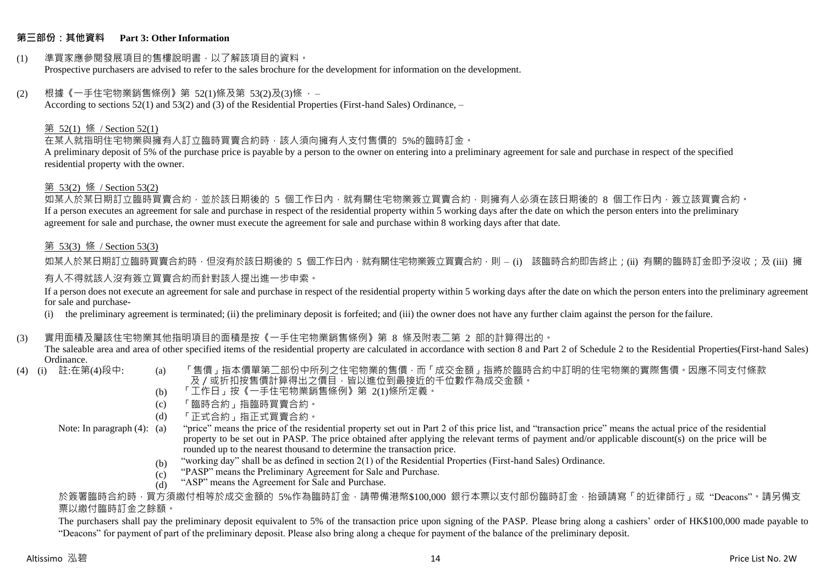#### **第三部份:其他資料 Part 3: Other Information**

#### (1) 準買家應參閱發展項目的售樓說明書,以了解該項目的資料。 Prospective purchasers are advised to refer to the sales brochure for the development for information on the development.

#### $(2)$  根據《一手住宅物業銷售條例》第 52(1)條及第 53(2)及(3)條,

According to sections 52(1) and 53(2) and (3) of the Residential Properties (First-hand Sales) Ordinance, –

#### 第 52(1) 條 / Section 52(1)

在某人就指明住宅物業與擁有人訂立臨時買賣合約時,該人須向擁有人支付售價的 5%的臨時訂金。

A preliminary deposit of 5% of the purchase price is payable by a person to the owner on entering into a preliminary agreement for sale and purchase in respect of the specified residential property with the owner.

#### 第 53(2) 條 / Section 53(2)

如某人於某日期訂立臨時買賣合約,並於該日期後的 5 個工作日內,就有關住宅物業簽立買賣合約,則擁有人必須在該日期後的 8 個工作日內,簽立該買賣合約。 If a person executes an agreement for sale and purchase in respect of the residential property within 5 working days after the date on which the person enters into the preliminary agreement for sale and purchase, the owner must execute the agreement for sale and purchase within 8 working days after that date.

#### 第 53(3) 條 / Section 53(3)

如某人於某日期訂立臨時買賣合約時,但沒有於該日期後的 5 個工作日內,就有關住宅物業簽立買賣合約,則 – (i) 該臨時合約即告終止;(ii) 有關的臨時訂金即予沒收;及 (iii) 擁 有人不得就該人沒有簽立買賣合約而針對該人提出進一步申索。

If a person does not execute an agreement for sale and purchase in respect of the residential property within 5 working days after the date on which the person enters into the preliminary agreement for sale and purchase-

(i) the preliminary agreement is terminated; (ii) the preliminary deposit is forfeited; and (iii) the owner does not have any further claim against the person for the failure.

#### (3) 實用面積及屬該住宅物業其他指明項目的面積是按《一手住宅物業銷售條例》第 8 條及附表二第 2 部的計算得出的。

The saleable area and area of other specified items of the residential property are calculated in accordance with section 8 and Part 2 of Schedule 2 to the Residential Properties(First-hand Sales) Ordinance.<br>(4) (i) 註:在第(4)段中:

- 
- (a) 「售價」指本價單第二部份中所列之住宅物業的售價,而「成交金額」指將於臨時合約中訂明的住宅物業的實際售價。因應不同支付條款 及/或折扣按售價計算得出之價目,皆以進位到最接近的千位數作為成交金額。
- (b) 「工作日」按《一手住宅物業銷售條例》第 2(1)條所定義。
- (c) 「臨時合約」指臨時買賣合約。
- (d) 「正式合約」指正式買賣合約。
- Note: In paragraph (4): (a)
- "price" means the price of the residential property set out in Part 2 of this price list, and "transaction price" means the actual price of the residential property to be set out in PASP. The price obtained after applying the relevant terms of payment and/or applicable discount(s) on the price will be rounded up to the nearest thousand to determine the transaction price.
	- (b) "working day" shall be as defined in section 2(1) of the Residential Properties (First-hand Sales) Ordinance.
	- (c) "PASP" means the Preliminary Agreement for Sale and Purchase.
	- (d) "ASP" means the Agreement for Sale and Purchase.

於簽署臨時合約時,買方須繳付相等於成交金額的 5%作為臨時訂金,請帶備港幣\$100,000 銀行本票以支付部份臨時訂金,抬頭請寫「的近律師行」或"Deacons"。請另備支 票以繳付臨時訂金之餘額。

The purchasers shall pay the preliminary deposit equivalent to 5% of the transaction price upon signing of the PASP. Please bring along a cashiers' order of HK\$100,000 made payable to "Deacons" for payment of part of the preliminary deposit. Please also bring along a cheque for payment of the balance of the preliminary deposit.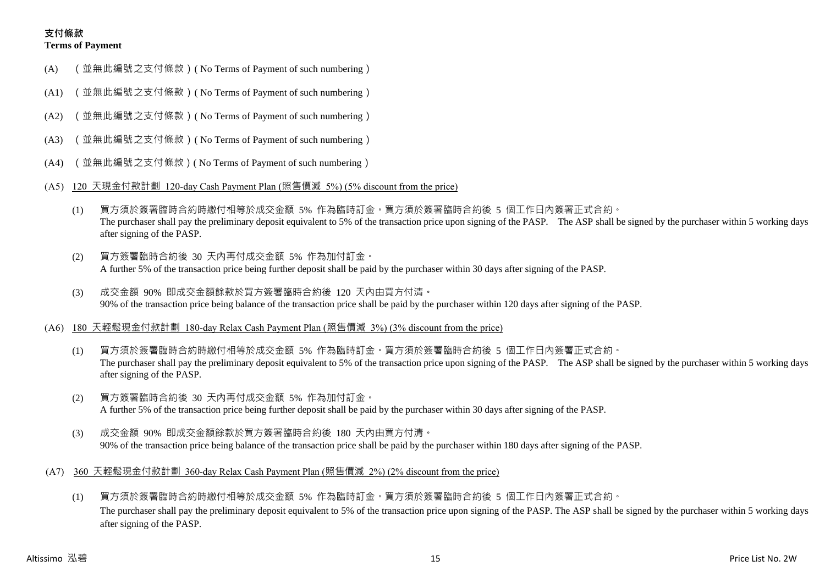## **支付條款 Terms of Payment**

- (A) (並無此編號之支付條款)( No Terms of Payment of such numbering)
- (A1) (並無此編號之支付條款)( No Terms of Payment of such numbering)
- (A2) (並無此編號之支付條款)( No Terms of Payment of such numbering)
- (A3) (並無此編號之支付條款)( No Terms of Payment of such numbering)
- (A4) (並無此編號之支付條款)( No Terms of Payment of such numbering)
- (A5) 120 天現金付款計劃 120-day Cash Payment Plan (照售價減 5%) (5% discount from the price)
	- (1) 買方須於簽署臨時合約時繳付相等於成交金額 5% 作為臨時訂金。買方須於簽署臨時合約後 5 個工作日內簽署正式合約。 The purchaser shall pay the preliminary deposit equivalent to 5% of the transaction price upon signing of the PASP. The ASP shall be signed by the purchaser within 5 working days after signing of the PASP.
	- (2) 買方簽署臨時合約後 30 天內再付成交金額 5% 作為加付訂金。 A further 5% of the transaction price being further deposit shall be paid by the purchaser within 30 days after signing of the PASP.
	- (3) 成交金額 90% 即成交金額餘款於買方簽署臨時合約後 120 天內由買方付清。 90% of the transaction price being balance of the transaction price shall be paid by the purchaser within 120 days after signing of the PASP.
- (A6) 180 天輕鬆現金付款計劃 180-day Relax Cash Payment Plan (照售價減 3%) (3% discount from the price)
	- (1) 買方須於簽署臨時合約時繳付相等於成交金額 5% 作為臨時訂金。買方須於簽署臨時合約後 5 個工作日內簽署正式合約。 The purchaser shall pay the preliminary deposit equivalent to 5% of the transaction price upon signing of the PASP. The ASP shall be signed by the purchaser within 5 working days after signing of the PASP.
	- (2) 買方簽署臨時合約後 30 天內再付成交金額 5% 作為加付訂金。 A further 5% of the transaction price being further deposit shall be paid by the purchaser within 30 days after signing of the PASP.
	- (3) 成交金額 90% 即成交金額餘款於買方簽署臨時合約後 180 天內由買方付清。 90% of the transaction price being balance of the transaction price shall be paid by the purchaser within 180 days after signing of the PASP.
- (A7) 360 天輕鬆現金付款計劃 360-day Relax Cash Payment Plan (照售價減 2%) (2% discount from the price)
	- (1) 買方須於簽署臨時合約時繳付相等於成交金額 5% 作為臨時訂金。買方須於簽署臨時合約後 5 個工作日內簽署正式合約。 The purchaser shall pay the preliminary deposit equivalent to 5% of the transaction price upon signing of the PASP. The ASP shall be signed by the purchaser within 5 working days after signing of the PASP.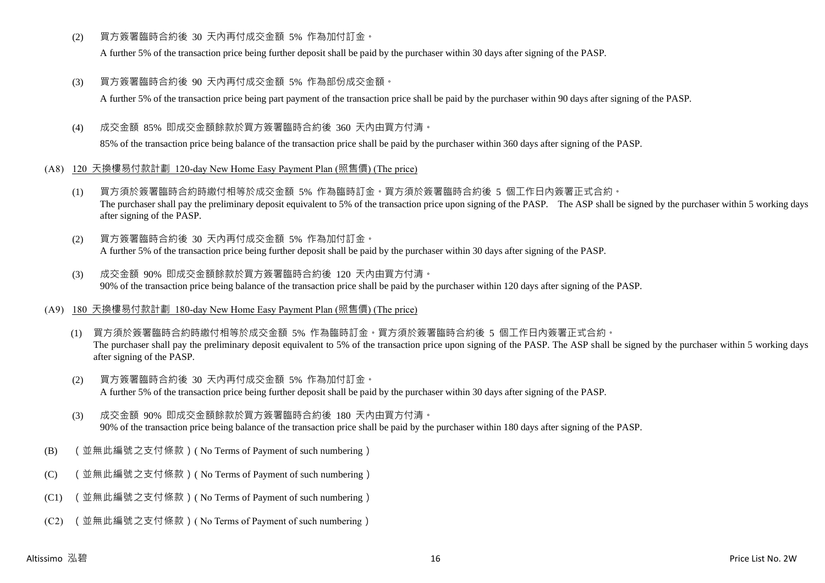(2) 買方簽署臨時合約後 30 天內再付成交金額 5% 作為加付訂金。

A further 5% of the transaction price being further deposit shall be paid by the purchaser within 30 days after signing of the PASP.

(3) 買方簽署臨時合約後 90 天內再付成交金額 5% 作為部份成交金額。

A further 5% of the transaction price being part payment of the transaction price shall be paid by the purchaser within 90 days after signing of the PASP.

(4) 成交金額 85% 即成交金額餘款於買方簽署臨時合約後 360 天內由買方付清。

85% of the transaction price being balance of the transaction price shall be paid by the purchaser within 360 days after signing of the PASP.

- (A8) 120 天換樓易付款計劃 120-day New Home Easy Payment Plan (照售價) (The price)
	- (1) 買方須於簽署臨時合約時繳付相等於成交金額 5% 作為臨時訂金。買方須於簽署臨時合約後 5 個工作日內簽署正式合約。 The purchaser shall pay the preliminary deposit equivalent to 5% of the transaction price upon signing of the PASP. The ASP shall be signed by the purchaser within 5 working days after signing of the PASP.
	- (2) 買方簽署臨時合約後 30 天內再付成交金額 5% 作為加付訂金。 A further 5% of the transaction price being further deposit shall be paid by the purchaser within 30 days after signing of the PASP.
	- (3) 成交金額 90% 即成交金額餘款於買方簽署臨時合約後 120 天內由買方付清。 90% of the transaction price being balance of the transaction price shall be paid by the purchaser within 120 days after signing of the PASP.
- (A9) 180 天換樓易付款計劃 180-day New Home Easy Payment Plan (照售價) (The price)
	- (1) 買方須於簽署臨時合約時繳付相等於成交金額 5% 作為臨時訂金。買方須於簽署臨時合約後 5 個工作日內簽署正式合約。 The purchaser shall pay the preliminary deposit equivalent to 5% of the transaction price upon signing of the PASP. The ASP shall be signed by the purchaser within 5 working days after signing of the PASP.
	- (2) 買方簽署臨時合約後 30 天內再付成交金額 5% 作為加付訂金。 A further 5% of the transaction price being further deposit shall be paid by the purchaser within 30 days after signing of the PASP.
	- (3) 成交金額 90% 即成交金額餘款於買方簽署臨時合約後 180 天內由買方付清。 90% of the transaction price being balance of the transaction price shall be paid by the purchaser within 180 days after signing of the PASP.
- (B) (並無此編號之支付條款)( No Terms of Payment of such numbering)
- (C) (並無此編號之支付條款)( No Terms of Payment of such numbering)
- (C1) (並無此編號之支付條款)( No Terms of Payment of such numbering)
- (C2) (並無此編號之支付條款)( No Terms of Payment of such numbering)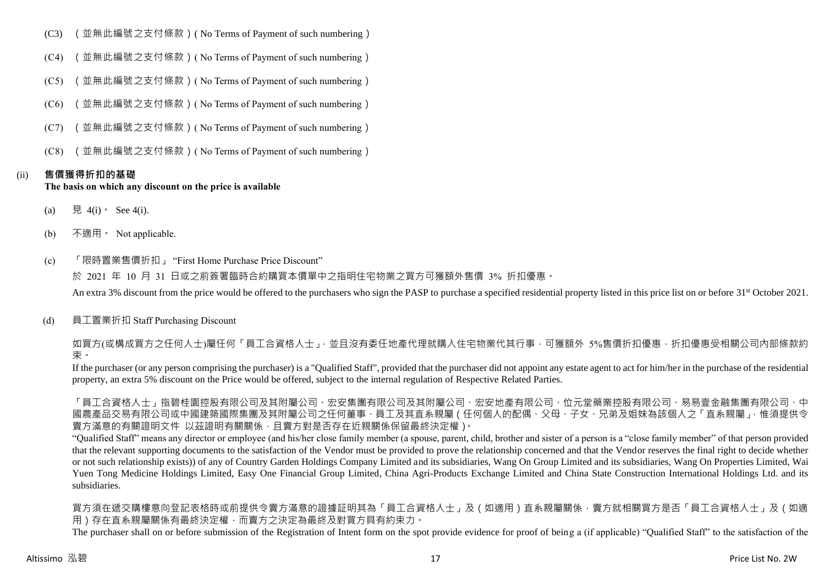- (C3) (並無此編號之支付條款)( No Terms of Payment of such numbering)
- (C4) (並無此編號之支付條款)( No Terms of Payment of such numbering)
- (C5) (並無此編號之支付條款)( No Terms of Payment of such numbering)
- (C6) (並無此編號之支付條款)( No Terms of Payment of such numbering)
- (C7) (並無此編號之支付條款)( No Terms of Payment of such numbering)
- (C8) (並無此編號之支付條款)( No Terms of Payment of such numbering)

# (ii) **售價獲得折扣的基礎**

## **The basis on which any discount on the price is available**

- (a) 見 4(i) See 4(i).
- (b) 不適用。 Not applicable.
- (c) 「限時置業售價折扣」 "First Home Purchase Price Discount"

於 2021 年 10 月 31 日或之前簽署臨時合約購買本價單中之指明住宅物業之買方可獲額外售價 3% 折扣優惠。

An extra 3% discount from the price would be offered to the purchasers who sign the PASP to purchase a specified residential property listed in this price list on or before 31<sup>st</sup> October 2021.

# (d) 員工置業折扣 Staff Purchasing Discount

如買方(或構成買方之任何人士)屬任何「員工合資格人士」,並且沒有委任地產代理就購入住宅物業代其行事,可獲額外 5%售價折扣優惠,折扣優惠受相關公司內部條款約 束。

If the purchaser (or any person comprising the purchaser) is a "Qualified Staff", provided that the purchaser did not appoint any estate agent to act for him/her in the purchase of the residential property, an extra 5% discount on the Price would be offered, subject to the internal regulation of Respective Related Parties.

「員工合資格人士」指碧桂園控股有限公司及其附屬公司、宏安集團有限公司及其附屬公司、宏安地產有限公司、位元堂藥業控股有限公司、易易壹金融集團有限公司、中 國農產品交易有限公司或中國建築國際集團及其附屬公司之任何董事、員工及其直系親屬(任何個人的配偶、父母、子女、兄弟及姐妹為該個人之「直系親屬」,惟須提供令 賣方滿意的有關證明文件 以茲證明有關關係,且賣方對是否存在近親關係保留最終決定權)。

"Qualified Staff" means any director or employee (and his/her close family member (a spouse, parent, child, brother and sister of a person is a "close family member" of that person provided that the relevant supporting documents to the satisfaction of the Vendor must be provided to prove the relationship concerned and that the Vendor reserves the final right to decide whether or not such relationship exists)) of any of Country Garden Holdings Company Limited and its subsidiaries, Wang On Group Limited and its subsidiaries, Wang On Properties Limited, Wai Yuen Tong Medicine Holdings Limited, Easy One Financial Group Limited, China Agri-Products Exchange Limited and China State Construction International Holdings Ltd. and its subsidiaries.

買方須在遞交購樓意向登記表格時或前提供令賣方滿意的證據証明其為「員工合資格人士」及(如適用)直系親屬關係,賣方就相關買方是否「員工合資格人士」及(如適 用)存在直系親屬關係有最終決定權,而賣方之決定為最終及對買方具有約束力。

The purchaser shall on or before submission of the Registration of Intent form on the spot provide evidence for proof of being a (if applicable) "Qualified Staff" to the satisfaction of the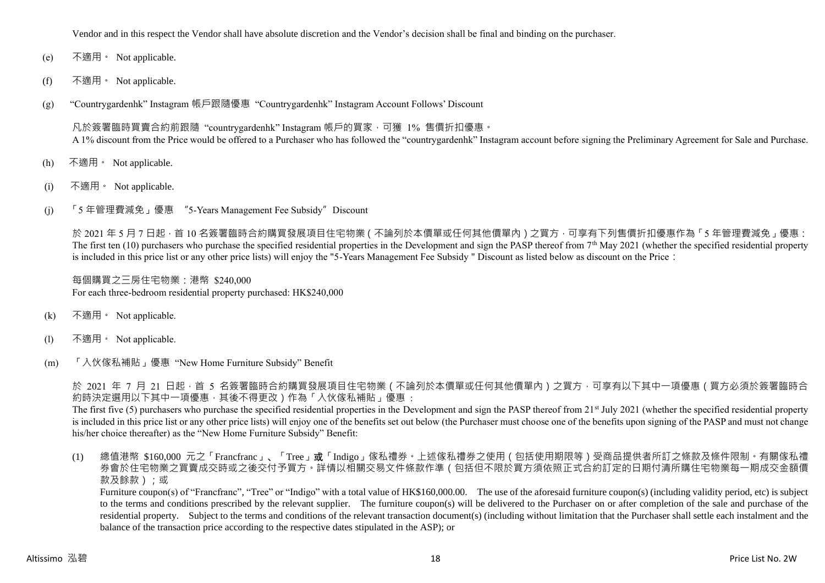Vendor and in this respect the Vendor shall have absolute discretion and the Vendor's decision shall be final and binding on the purchaser.

- (e) 不適用。 Not applicable.
- (f) 不適用。 Not applicable.
- (g) "Countrygardenhk" Instagram 帳戶跟隨優惠 "Countrygardenhk" Instagram Account Follows' Discount

凡於簽署臨時買賣合約前跟隨 "countrygardenhk" Instagram 帳戶的買家,可獲 1% 售價折扣優惠。 A 1% discount from the Price would be offered to a Purchaser who has followed the "countrygardenhk" Instagram account before signing the Preliminary Agreement for Sale and Purchase.

- (h) 不適用。 Not applicable.
- (i) 不適用。 Not applicable.
- (j) 「5 年管理費減免」優惠 "5-Years Management Fee Subsidy"Discount

於 2021 年 5 月 7 日起, 首 10 名簽署臨時合約購買發展項目住宅物業 ( 不論列於本價單或任何其他價單內 ) 之買方, 可享有下列售價折扣優惠作為 「5 年管理費減免」優惠: The first ten  $(10)$  purchasers who purchase the specified residential properties in the Development and sign the PASP thereof from  $7<sup>th</sup>$  May 2021 (whether the specified residential property is included in this price list or any other price lists) will enjoy the "5-Years Management Fee Subsidy " Discount as listed below as discount on the Price:

每個購買之三房住宅物業:港幣 \$240,000 For each three-bedroom residential property purchased: HK\$240,000

- (k) 不適用 · Not applicable.
- (l) 不適用。 Not applicable.
- (m) 「入伙傢私補貼」優惠 "New Home Furniture Subsidy" Benefit

於 2021 年 7 月 21 日起,首 5 名簽署臨時合約購買發展項目住宅物業 ( 不論列於本價單或任何其他價單內 ) 之買方,可享有以下其中一項優惠 ( 買方必須於簽署臨時合 約時決定選用以下其中一項優惠,其後不得更改)作為「入伙傢私補貼」優惠:

The first five (5) purchasers who purchase the specified residential properties in the Development and sign the PASP thereof from 21<sup>st</sup> July 2021 (whether the specified residential property is included in this price list or any other price lists) will enjoy one of the benefits set out below (the Purchaser must choose one of the benefits upon signing of the PASP and must not change his/her choice thereafter) as the "New Home Furniture Subsidy" Benefit:

(1) 總值港幣 \$160,000 元之「Francfranc」、「Tree」或「Indigo」傢私禮券。上述傢私禮券之使用(包括使用期限等)受商品提供者所訂之條款及條件限制。有關傢私禮 券會於住宅物業之買賣成交時或之後交付予買方。詳情以相關交易文件條款作準(包括但不限於買方須依照正式合約訂定的日期付清所購住宅物業每一期成交金額價 款及餘款);或

Furniture coupon(s) of "Francfranc", "Tree" or "Indigo" with a total value of HK\$160,000.00. The use of the aforesaid furniture coupon(s) (including validity period, etc) is subject to the terms and conditions prescribed by the relevant supplier. The furniture coupon(s) will be delivered to the Purchaser on or after completion of the sale and purchase of the residential property. Subject to the terms and conditions of the relevant transaction document(s) (including without limitation that the Purchaser shall settle each instalment and the balance of the transaction price according to the respective dates stipulated in the ASP); or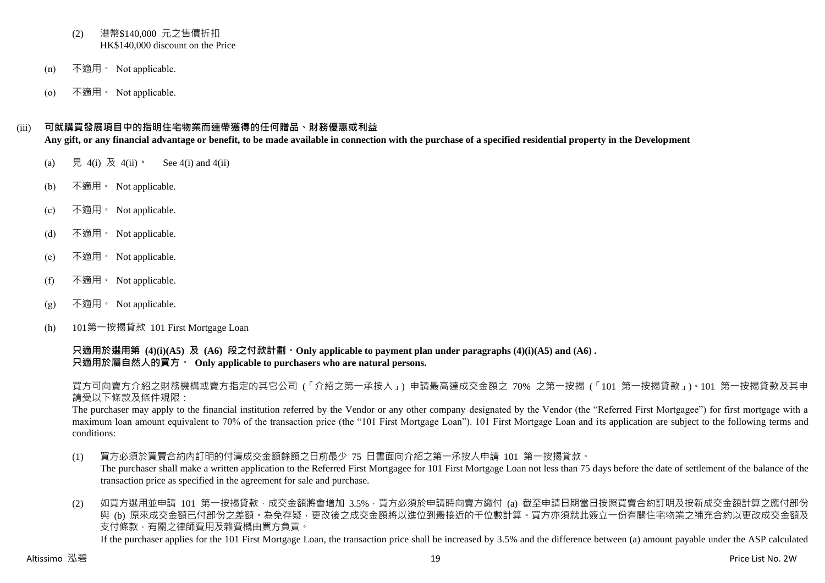- (2) 港幣\$140,000 元之售價折扣 HK\$140,000 discount on the Price
- (n) 不適用。 Not applicable.
- (o) 不適用。 Not applicable.

#### (iii) **可就購買發展項目中的指明住宅物業而連帶獲得的任何贈品、財務優惠或利益**

**Any gift, or any financial advantage or benefit, to be made available in connection with the purchase of a specified residential property in the Development**

- (a)  $\quad \nexists \quad 4(i) \; \nexists \quad 4(ii) \; \cdot \quad \text{See } 4(i) \text{ and } 4(ii)$
- (b) 不適用。 Not applicable.
- (c) 不適用。 Not applicable.
- (d) 不適用。 Not applicable.
- (e) 不適用。 Not applicable.
- (f) 不適用。 Not applicable.
- (g) 不適用。 Not applicable.
- (h) 101第一按揭貸款 101 First Mortgage Loan

**只適用於選用第 (4)(i)(A5) 及 (A6) 段之付款計劃。Only applicable to payment plan under paragraphs (4)(i)(A5) and (A6) . 只適用於屬自然人的買方。 Only applicable to purchasers who are natural persons.**

買方可向賣方介紹之財務機構或賣方指定的其它公司 (「介紹之第一承按人」) 申請最高達成交金額之 70% 之第一按揭 (「101 第一按揭貸款」)。101 第一按揭貸款及其申 請受以下條款及條件規限:

The purchaser may apply to the financial institution referred by the Vendor or any other company designated by the Vendor (the "Referred First Mortgagee") for first mortgage with a maximum loan amount equivalent to 70% of the transaction price (the "101 First Mortgage Loan"). 101 First Mortgage Loan and its application are subject to the following terms and conditions:

- (1) 買方必須於買賣合約內訂明的付清成交金額餘額之日前最少 75 日書面向介紹之第一承按人申請 101 第一按揭貸款。 The purchaser shall make a written application to the Referred First Mortgagee for 101 First Mortgage Loan not less than 75 days before the date of settlement of the balance of the transaction price as specified in the agreement for sale and purchase.
- (2) 如買方選用並申請 101 第一按揭貸款,成交金額將會增加 3.5%,買方必須於申請時向賣方繳付 (a) 截至申請日期當日按照買賣合約訂明及按新成交金額計算之應付部份 與 (b) 原來成交金額已付部份之差額。為免存疑,更改後之成交金額將以進位到最接近的千位數計算。買方亦須就此簽立一份有關住宅物業之補充合約以更改成交金額及 支付條款,有關之律師費用及雜費概由買方負責。

If the purchaser applies for the 101 First Mortgage Loan, the transaction price shall be increased by 3.5% and the difference between (a) amount payable under the ASP calculated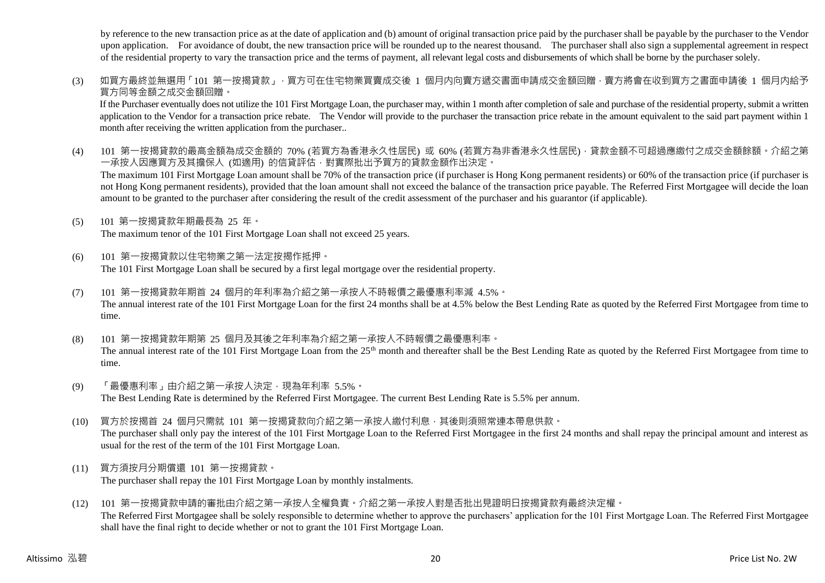by reference to the new transaction price as at the date of application and (b) amount of original transaction price paid by the purchaser shall be payable by the purchaser to the Vendor upon application. For avoidance of doubt, the new transaction price will be rounded up to the nearest thousand. The purchaser shall also sign a supplemental agreement in respect of the residential property to vary the transaction price and the terms of payment, all relevant legal costs and disbursements of which shall be borne by the purchaser solely.

(3) 如買方最終並無選用「101 第一按揭貸款」,買方可在住宅物業買賣成交後 1 個月内向賣方遞交書面申請成交金額回贈,賣方將會在收到買方之書面申請後 1 個月内給予 買方同等金額之成交金額回贈。

If the Purchaser eventually does not utilize the 101 First Mortgage Loan, the purchaser may, within 1 month after completion of sale and purchase of the residential property, submit a written application to the Vendor for a transaction price rebate. The Vendor will provide to the purchaser the transaction price rebate in the amount equivalent to the said part payment within 1 month after receiving the written application from the purchaser..

- (4) 101 第一按揭貸款的最高金額為成交金額的 70% (若買方為香港永久性居民) 或 60% (若買方為非香港永久性居民), 貸款金額不可超過應繳付之成交金額餘額。介紹之第 一承按人因應買方及其擔保人 (如適用) 的信貸評估,對實際批出予買方的貸款金額作出決定。 The maximum 101 First Mortgage Loan amount shall be 70% of the transaction price (if purchaser is Hong Kong permanent residents) or 60% of the transaction price (if purchaser is not Hong Kong permanent residents), provided that the loan amount shall not exceed the balance of the transaction price payable. The Referred First Mortgagee will decide the loan amount to be granted to the purchaser after considering the result of the credit assessment of the purchaser and his guarantor (if applicable).
- (5) 101 第一按揭貸款年期最長為 25 年。

The maximum tenor of the 101 First Mortgage Loan shall not exceed 25 years.

- (6) 101 第一按揭貸款以住宅物業之第一法定按揭作抵押。 The 101 First Mortgage Loan shall be secured by a first legal mortgage over the residential property.
- (7) 101 第一按揭貸款年期首 24 個月的年利率為介紹之第一承按人不時報價之最優惠利率減 4.5%。 The annual interest rate of the 101 First Mortgage Loan for the first 24 months shall be at 4.5% below the Best Lending Rate as quoted by the Referred First Mortgagee from time to time.
- (8) 101 第一按揭貸款年期第 25 個月及其後之年利率為介紹之第一承按人不時報價之最優惠利率。 The annual interest rate of the 101 First Mortgage Loan from the 25<sup>th</sup> month and thereafter shall be the Best Lending Rate as quoted by the Referred First Mortgagee from time to time.
- (9) 「最優惠利率」由介紹之第一承按人決定,現為年利率 5.5%。 The Best Lending Rate is determined by the Referred First Mortgagee. The current Best Lending Rate is 5.5% per annum.
- (10) 買方於按揭首 24 個月只需就 101 第一按揭貸款向介紹之第一承按人繳付利息,其後則須照常連本帶息供款。 The purchaser shall only pay the interest of the 101 First Mortgage Loan to the Referred First Mortgagee in the first 24 months and shall repay the principal amount and interest as usual for the rest of the term of the 101 First Mortgage Loan.
- (11) 買方須按月分期償還 101 第一按揭貸款。 The purchaser shall repay the 101 First Mortgage Loan by monthly instalments.
- (12) 101 第一按揭貸款申請的審批由介紹之第一承按人全權負責。介紹之第一承按人對是否批出見證明日按揭貸款有最終決定權。 The Referred First Mortgagee shall be solely responsible to determine whether to approve the purchasers' application for the 101 First Mortgage Loan. The Referred First Mortgagee shall have the final right to decide whether or not to grant the 101 First Mortgage Loan.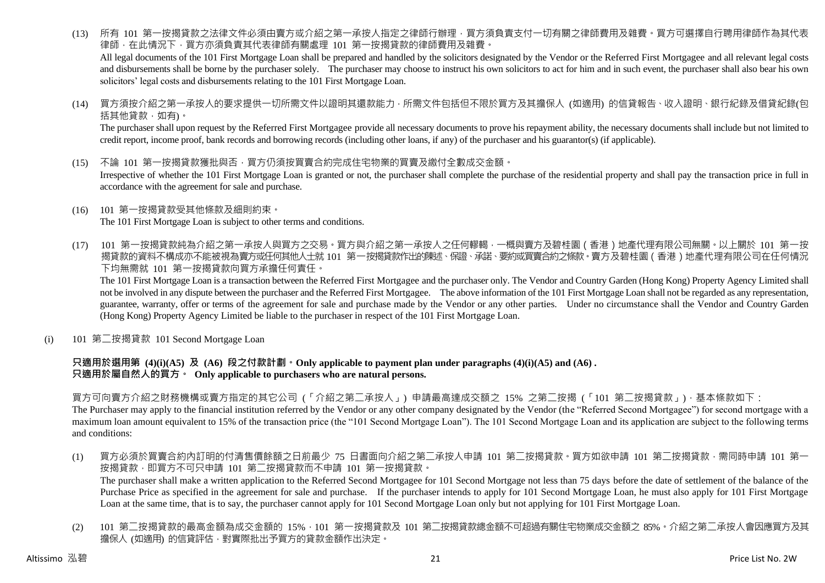(13) 所有 101 第一按揭貸款之法律文件必須由賣方或介紹之第一承按人指定之律師行辦理,買方須負責支付一切有關之律師費用及雜費。買方可選擇自行聘用律師作為其代表 律師,在此情況下,買方亦須負責其代表律師有關處理 101 第一按揭貸款的律師費用及雜費。

All legal documents of the 101 First Mortgage Loan shall be prepared and handled by the solicitors designated by the Vendor or the Referred First Mortgagee and all relevant legal costs and disbursements shall be borne by the purchaser solely. The purchaser may choose to instruct his own solicitors to act for him and in such event, the purchaser shall also bear his own solicitors' legal costs and disbursements relating to the 101 First Mortgage Loan.

(14) 買方須按介紹之第一承按人的要求提供一切所需文件以證明其還款能力,所需文件包括但不限於買方及其擔保人 (如適用) 的信貸報告、收入證明、銀行紀錄及借貸紀錄(包 括其他貸款,如有)。

The purchaser shall upon request by the Referred First Mortgagee provide all necessary documents to prove his repayment ability, the necessary documents shall include but not limited to credit report, income proof, bank records and borrowing records (including other loans, if any) of the purchaser and his guarantor(s) (if applicable).

(15) 不論 101 第一按揭貸款獲批與否,買方仍須按買賣合約完成住宅物業的買賣及繳付全數成交金額。

Irrespective of whether the 101 First Mortgage Loan is granted or not, the purchaser shall complete the purchase of the residential property and shall pay the transaction price in full in accordance with the agreement for sale and purchase.

- (16) 101 第一按揭貸款受其他條款及細則約束。 The 101 First Mortgage Loan is subject to other terms and conditions.
- (17) 101 第一按揭貸款純為介紹之第一承按人與買方之交易。買方與介紹之第一承按人之任何轇輵,一概與賣方及碧桂園(香港)地產代理有限公司無關。以上關於 101 第一按 揭貸款的資料不構成亦不能被視為賣方或任何其他人士就 101 第一按揭貸款作出的陳述、保證、承諾、要約或買賣合約之條款。賣方及碧桂園(香港)地產代理有限公司在任何情況 下均無需就 101 第一按揭貸款向買方承擔任何責任。

The 101 First Mortgage Loan is a transaction between the Referred First Mortgagee and the purchaser only. The Vendor and Country Garden (Hong Kong) Property Agency Limited shall not be involved in any dispute between the purchaser and the Referred First Mortgagee. The above information of the 101 First Mortgage Loan shall not be regarded as any representation, guarantee, warranty, offer or terms of the agreement for sale and purchase made by the Vendor or any other parties. Under no circumstance shall the Vendor and Country Garden (Hong Kong) Property Agency Limited be liable to the purchaser in respect of the 101 First Mortgage Loan.

(i) 101 第二按揭貸款 101 Second Mortgage Loan

#### **只適用於選用第 (4)(i)(A5) 及 (A6) 段之付款計劃。Only applicable to payment plan under paragraphs (4)(i)(A5) and (A6) . 只適用於屬自然人的買方。 Only applicable to purchasers who are natural persons.**

買方可向賣方介紹之財務機構或賣方指定的其它公司 (「介紹之第二承按人」) 申請最高達成交額之 15% 之第二按揭 (「101 第二按揭貸款」),基本條款如下: The Purchaser may apply to the financial institution referred by the Vendor or any other company designated by the Vendor (the "Referred Second Mortgagee") for second mortgage with a maximum loan amount equivalent to 15% of the transaction price (the "101 Second Mortgage Loan"). The 101 Second Mortgage Loan and its application are subject to the following terms and conditions:

(1) 買方必須於買賣合約內訂明的付清售價餘額之日前最少 75 日書面向介紹之第二承按人申請 101 第二按揭貸款。買方如欲申請 101 第二按揭貸款,需同時申請 101 第一 按揭貸款,即買方不可只申請 101 第二按揭貸款而不申請 101 第一按揭貸款。 The purchaser shall make a written application to the Referred Second Mortgagee for 101 Second Mortgage not less than 75 days before the date of settlement of the balance of the

Purchase Price as specified in the agreement for sale and purchase. If the purchaser intends to apply for 101 Second Mortgage Loan, he must also apply for 101 First Mortgage Loan at the same time, that is to say, the purchaser cannot apply for 101 Second Mortgage Loan only but not applying for 101 First Mortgage Loan.

(2) 101 第二按揭貸款的最高金額為成交金額的 15%,101 第一按揭貸款及 101 第二按揭貸款總金額不可超過有關住宅物業成交金額之 85%。介紹之第二承按人會因應買方及其 擔保人 (如適用) 的信貸評估, 對實際批出予買方的貸款金額作出決定。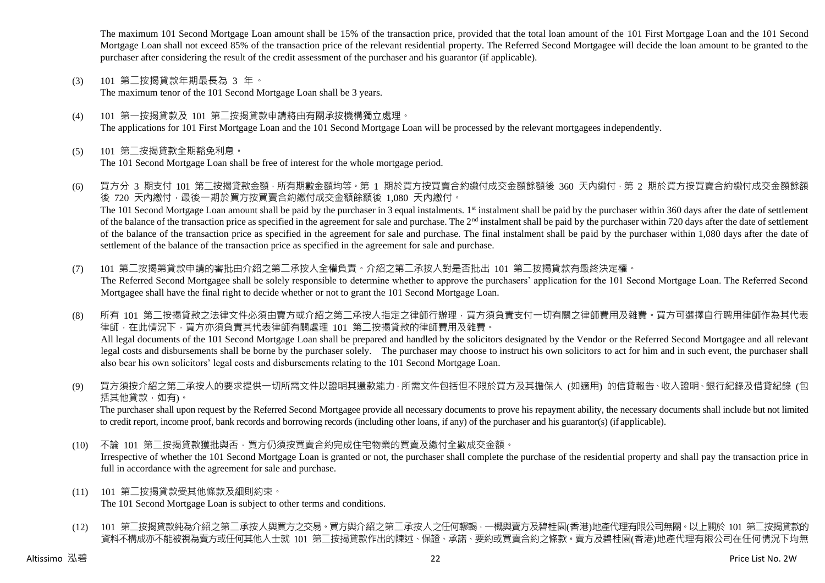The maximum 101 Second Mortgage Loan amount shall be 15% of the transaction price, provided that the total loan amount of the 101 First Mortgage Loan and the 101 Second Mortgage Loan shall not exceed 85% of the transaction price of the relevant residential property. The Referred Second Mortgagee will decide the loan amount to be granted to the purchaser after considering the result of the credit assessment of the purchaser and his guarantor (if applicable).

(3) 101 第二按揭貸款年期最長為 3 年。

The maximum tenor of the 101 Second Mortgage Loan shall be 3 years.

- (4) 101 第一按揭貸款及 101 第二按揭貸款申請將由有關承按機構獨立處理。 The applications for 101 First Mortgage Loan and the 101 Second Mortgage Loan will be processed by the relevant mortgagees independently.
- (5) 101 第二按揭貸款全期豁免利息。 The 101 Second Mortgage Loan shall be free of interest for the whole mortgage period.
- (6) 買方分 3 期支付 101 第二按揭貸款金額,所有期數金額均等。第 1 期於買方按買賣合約繳付成交金額餘額後 360 天內繳付,第 2 期於買方按買賣合約繳付成交金額餘額 後 720 天內繳付,最後一期於買方按買賣合約繳付成交金額餘額後 1,080 天內繳付。 The 101 Second Mortgage Loan amount shall be paid by the purchaser in 3 equal instalments. 1<sup>st</sup> instalment shall be paid by the purchaser within 360 days after the date of settlement of the balance of the transaction price as specified in the agreement for sale and purchase. The  $2<sup>nd</sup>$  instalment shall be paid by the purchaser within 720 days after the date of settlement of the balance of the transaction price as specified in the agreement for sale and purchase. The final instalment shall be paid by the purchaser within 1,080 days after the date of settlement of the balance of the transaction price as specified in the agreement for sale and purchase.
- (7) 101 第二按揭第貸款申請的審批由介紹之第二承按人全權負責。介紹之第二承按人對是否批出 101 第二按揭貸款有最終決定權。 The Referred Second Mortgagee shall be solely responsible to determine whether to approve the purchasers' application for the 101 Second Mortgage Loan. The Referred Second Mortgagee shall have the final right to decide whether or not to grant the 101 Second Mortgage Loan.
- (8) 所有 101 第二按揭貸款之法律文件必須由賣方或介紹之第二承按人指定之律師行辦理,買方須負責支付一切有關之律師費用及雜費。買方可選擇自行聘用律師作為其代表 律師,在此情況下,買方亦須負責其代表律師有關處理 101 第二按揭貸款的律師費用及雜費。 All legal documents of the 101 Second Mortgage Loan shall be prepared and handled by the solicitors designated by the Vendor or the Referred Second Mortgagee and all relevant legal costs and disbursements shall be borne by the purchaser solely. The purchaser may choose to instruct his own solicitors to act for him and in such event, the purchaser shall also bear his own solicitors' legal costs and disbursements relating to the 101 Second Mortgage Loan.
- (9) 買方須按介紹之第二承按人的要求提供一切所需文件以證明其還款能力,所需文件包括但不限於買方及其擔保人 (如適用) 的信貸報告、收入證明、銀行紀錄及借貸紀錄 (包 括其他貸款,如有)。

The purchaser shall upon request by the Referred Second Mortgagee provide all necessary documents to prove his repayment ability, the necessary documents shall include but not limited to credit report, income proof, bank records and borrowing records (including other loans, if any) of the purchaser and his guarantor(s) (if applicable).

(10) 不論 101 第二按揭貸款獲批與否,買方仍須按買賣合約完成住宅物業的買賣及繳付全數成交金額。

Irrespective of whether the 101 Second Mortgage Loan is granted or not, the purchaser shall complete the purchase of the residential property and shall pay the transaction price in full in accordance with the agreement for sale and purchase.

- (11) 101 第二按揭貸款受其他條款及細則約束。 The 101 Second Mortgage Loan is subject to other terms and conditions.
- (12) 101 第二按揭貸款純為介紹之第二承按人與買方之交易。買方與介紹之第二承按人之任何轇輵,一概與賣方及碧桂園(香港)地產代理有限公司無關。以上關於 101 第二按揭貸款的 資料不構成亦不能被視為賣方或任何其他人士就 101 第二按揭貸款作出的陳述、保證、承諾、要約或買賣合約之條款。賣方及碧桂園(香港)地產代理有限公司在任何情況下均無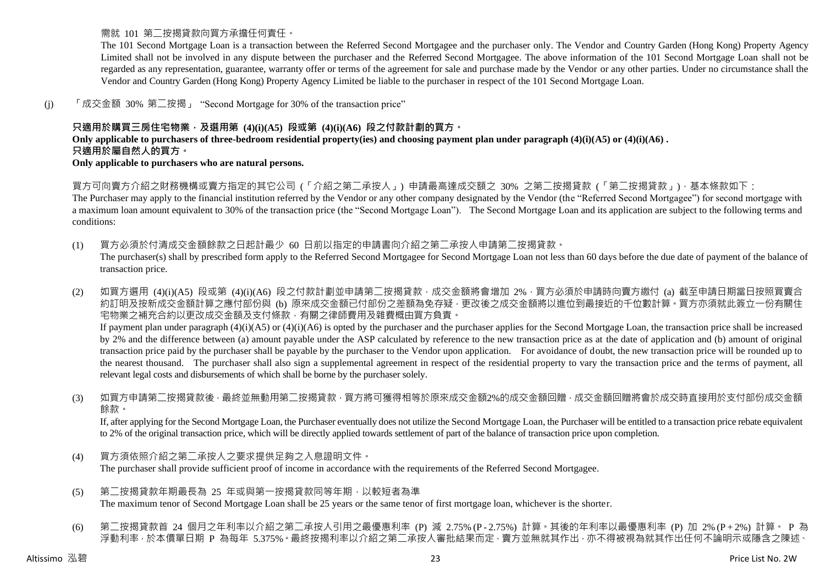需就 101 第二按揭貸款向買方承擔任何責任。

The 101 Second Mortgage Loan is a transaction between the Referred Second Mortgagee and the purchaser only. The Vendor and Country Garden (Hong Kong) Property Agency Limited shall not be involved in any dispute between the purchaser and the Referred Second Mortgagee. The above information of the 101 Second Mortgage Loan shall not be regarded as any representation, guarantee, warranty offer or terms of the agreement for sale and purchase made by the Vendor or any other parties. Under no circumstance shall the Vendor and Country Garden (Hong Kong) Property Agency Limited be liable to the purchaser in respect of the 101 Second Mortgage Loan.

(j) 「成交金額 30% 第二按揭」 "Second Mortgage for 30% of the transaction price"

## **只適用於購買三房住宅物業,及選用第 (4)(i)(A5) 段或第 (4)(i)(A6) 段之付款計劃的買方。**

**Only applicable to purchasers of three-bedroom residential property(ies) and choosing payment plan under paragraph (4)(i)(A5) or (4)(i)(A6) . 只適用於屬自然人的買方。**

**Only applicable to purchasers who are natural persons.**

買方可向賣方介紹之財務機構或賣方指定的其它公司 (「介紹之第二承按人」) 申請最高達成交額之 30% 之第二按揭貸款 (「第二按揭貸款」),基本條款如下:

The Purchaser may apply to the financial institution referred by the Vendor or any other company designated by the Vendor (the "Referred Second Mortgagee") for second mortgage with a maximum loan amount equivalent to 30% of the transaction price (the "Second Mortgage Loan"). The Second Mortgage Loan and its application are subject to the following terms and conditions:

- (1) 買方必須於付清成交金額餘款之日起計最少 60 日前以指定的申請書向介紹之第二承按人申請第二按揭貸款。 The purchaser(s) shall by prescribed form apply to the Referred Second Mortgagee for Second Mortgage Loan not less than 60 days before the due date of payment of the balance of transaction price.
- (2) 如買方選用 (4)(i)(A5) 段或第 (4)(i)(A6) 段之付款計劃並申請第二按揭貸款,成交金額將會增加 2%,買方必須於申請時向賣方繳付 (a) 截至申請日期當日按照買賣合 約訂明及按新成交金額計算之應付部份與 (b) 原來成交金額已付部份之差額為免存疑,更改後之成交金額將以進位到最接近的千位數計算。買方亦須就此簽立一份有關住 宅物業之補充合約以更改成交金額及支付條款,有關之律師費用及雜費概由買方負責。 If payment plan under paragraph (4)(i)(A5) or (4)(i)(A6) is opted by the purchaser and the purchaser applies for the Second Mortgage Loan, the transaction price shall be increased by 2% and the difference between (a) amount payable under the ASP calculated by reference to the new transaction price as at the date of application and (b) amount of original transaction price paid by the purchaser shall be payable by the purchaser to the Vendor upon application. For avoidance of doubt, the new transaction price will be rounded up to the nearest thousand. The purchaser shall also sign a supplemental agreement in respect of the residential property to vary the transaction price and the terms of payment, all relevant legal costs and disbursements of which shall be borne by the purchaser solely.
- (3) 如買方申請第二按揭貸款後,最終並無動用第二按揭貸款,買方將可獲得相等於原來成交金額2%的成交金額回贈,成交金額回贈將會於成交時直接用於支付部份成交金額 餘款。

If, after applying for the Second Mortgage Loan, the Purchaser eventually does not utilize the Second Mortgage Loan, the Purchaser will be entitled to a transaction price rebate equivalent to 2% of the original transaction price, which will be directly applied towards settlement of part of the balance of transaction price upon completion.

- (4) 買方須依照介紹之第二承按人之要求提供足夠之入息證明文件。 The purchaser shall provide sufficient proof of income in accordance with the requirements of the Referred Second Mortgagee.
- (5) 第二按揭貸款年期最長為 25 年或與第一按揭貸款同等年期,以較短者為準 The maximum tenor of Second Mortgage Loan shall be 25 years or the same tenor of first mortgage loan, whichever is the shorter.
- (6) 第二按揭貸款首 24 個月之年利率以介紹之第二承按人引用之最優惠利率 (P) 減 2.75% (P 2.75%) 計算。其後的年利率以最優惠利率 (P) 加 2% (P + 2%) 計算。 P 為 浮動利率,於本價單日期 P 為每年 5.375%。最終按揭利率以介紹之第二承按人審批結果而定,賣方並無就其作出,亦不得被視為就其作出任何不論明示或隱含之陳述、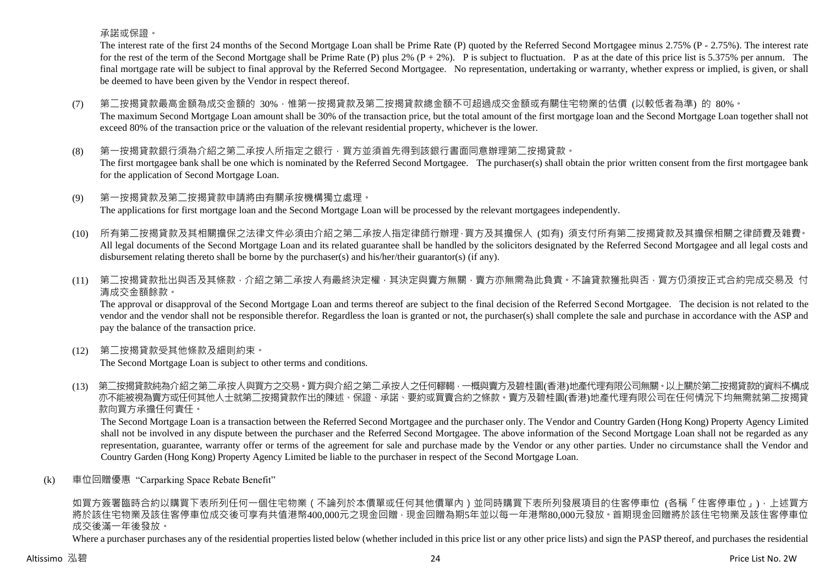承諾或保證。

The interest rate of the first 24 months of the Second Mortgage Loan shall be Prime Rate (P) quoted by the Referred Second Mortgagee minus 2.75% (P - 2.75%). The interest rate for the rest of the term of the Second Mortgage shall be Prime Rate (P) plus 2%  $(P + 2\%)$ . P is subject to fluctuation. P as at the date of this price list is 5.375% per annum. The final mortgage rate will be subject to final approval by the Referred Second Mortgagee. No representation, undertaking or warranty, whether express or implied, is given, or shall be deemed to have been given by the Vendor in respect thereof.

- (7) 第二按揭貸款最高金額為成交金額的 30%,惟第一按揭貸款及第二按揭貸款總金額不可超過成交金額或有關住宅物業的估價 (以較低者為準) 的 80%。 The maximum Second Mortgage Loan amount shall be 30% of the transaction price, but the total amount of the first mortgage loan and the Second Mortgage Loan together shall not exceed 80% of the transaction price or the valuation of the relevant residential property, whichever is the lower.
- (8) 第一按揭貸款銀行須為介紹之第二承按人所指定之銀行,買方並須首先得到該銀行書面同意辦理第二按揭貸款。 The first mortgagee bank shall be one which is nominated by the Referred Second Mortgagee. The purchaser(s) shall obtain the prior written consent from the first mortgagee bank for the application of Second Mortgage Loan.
- (9) 第一按揭貸款及第二按揭貸款申請將由有關承按機構獨立處理。 The applications for first mortgage loan and the Second Mortgage Loan will be processed by the relevant mortgagees independently.
- (10) 所有第二按揭貸款及其相關擔保之法律文件必須由介紹之第二承按人指定律師行辦理,買方及其擔保人 (如有) 須支付所有第二按揭貸款及其擔保相關之律師費及雜費。 All legal documents of the Second Mortgage Loan and its related guarantee shall be handled by the solicitors designated by the Referred Second Mortgagee and all legal costs and disbursement relating thereto shall be borne by the purchaser(s) and his/her/their guarantor(s) (if any).
- (11) 第二按揭貸款批出與否及其條款,介紹之第二承按人有最終決定權,其決定與賣方無關,賣方亦無需為此負責。不論貸款獲批與否,買方仍須按正式合約完成交易及 付 清成交金額餘款。

The approval or disapproval of the Second Mortgage Loan and terms thereof are subject to the final decision of the Referred Second Mortgagee. The decision is not related to the vendor and the vendor shall not be responsible therefor. Regardless the loan is granted or not, the purchaser(s) shall complete the sale and purchase in accordance with the ASP and pay the balance of the transaction price.

(12) 第二按揭貸款受其他條款及細則約束。

The Second Mortgage Loan is subject to other terms and conditions.

(13) 第二按揭貸款純為介紹之第二承按人與買方之交易。買方與介紹之第二承按人之任何轇輵,一概與賣方及碧桂園(香港)地產代理有限公司無關。以上關於第二按揭貸款的資料不構成 亦不能被視為賣方或任何其他人士就第二按揭貸款作出的陳述、保證、承諾、要約或買賣合約之條款。賣方及碧桂園(香港)地產代理有限公司在任何情況下均無需就第二按揭貸 款向買方承擔任何責任。

The Second Mortgage Loan is a transaction between the Referred Second Mortgagee and the purchaser only. The Vendor and Country Garden (Hong Kong) Property Agency Limited shall not be involved in any dispute between the purchaser and the Referred Second Mortgagee. The above information of the Second Mortgage Loan shall not be regarded as any representation, guarantee, warranty offer or terms of the agreement for sale and purchase made by the Vendor or any other parties. Under no circumstance shall the Vendor and Country Garden (Hong Kong) Property Agency Limited be liable to the purchaser in respect of the Second Mortgage Loan.

(k) 車位回贈優惠 "Carparking Space Rebate Benefit"

如買方簽署臨時合約以購買下表所列任何一個住宅物業 ( 不論列於本價單或任何其他價單內 ) 並同時購買下表所列發展項目的住客停車位 (各稱「住客停車位」), 上述買方 將於該住宅物業及該住客停車位成交後可享有共值港幣400,000元之現金回贈,現金回贈為期5年並以每一年港幣80,000元發放。首期現金回贈將於該住宅物業及該住客停車位 成交後滿一年後發放。

Where a purchaser purchases any of the residential properties listed below (whether included in this price list or any other price lists) and sign the PASP thereof, and purchases the residential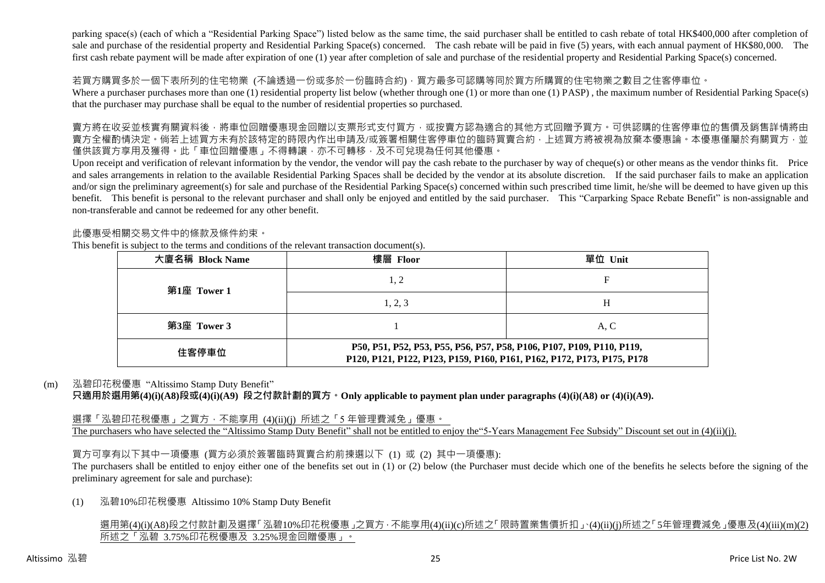parking space(s) (each of which a "Residential Parking Space") listed below as the same time, the said purchaser shall be entitled to cash rebate of total HK\$400,000 after completion of sale and purchase of the residential property and Residential Parking Space(s) concerned. The cash rebate will be paid in five (5) years, with each annual payment of HK\$80,000. The first cash rebate payment will be made after expiration of one (1) year after completion of sale and purchase of the residential property and Residential Parking Space(s) concerned.

#### 若買方購買多於一個下表所列的住宅物業 (不論透過一份或多於一份臨時合約),買方最多可認購等同於買方所購買的住宅物業之數目之住客停車位。

Where a purchaser purchases more than one (1) residential property list below (whether through one (1) or more than one (1) PASP), the maximum number of Residential Parking Space(s) that the purchaser may purchase shall be equal to the number of residential properties so purchased.

賣方將在收妥並核實有關資料後,將車位回贈優惠現金回贈以支票形式支付買方,或按賣方認為適合的其他方式回贈予買方。可供認購的住客停車位的售價及銷售詳情將由 賣方全權酌情決定。倘若上述買方未有於該特定的時限內作出申請及/或簽署相關住客停車位的臨時買賣合約,上述買方將被視為放棄本優惠論。本優惠僅屬於有關買方,並 僅供該買方享用及獲得。此「車位回贈優惠」不得轉讓,亦不可轉移,及不可兌現為任何其他優惠。

Upon receipt and verification of relevant information by the vendor, the vendor will pay the cash rebate to the purchaser by way of cheque(s) or other means as the vendor thinks fit. Price and sales arrangements in relation to the available Residential Parking Spaces shall be decided by the vendor at its absolute discretion. If the said purchaser fails to make an application and/or sign the preliminary agreement(s) for sale and purchase of the Residential Parking Space(s) concerned within such prescribed time limit, he/she will be deemed to have given up this benefit. This benefit is personal to the relevant purchaser and shall only be enjoyed and entitled by the said purchaser. This "Carparking Space Rebate Benefit" is non-assignable and non-transferable and cannot be redeemed for any other benefit.

#### 此優惠受相關交易文件中的條款及條件約束。

This benefit is subject to the terms and conditions of the relevant transaction document(s).

| 大廈名稱 Block Name | 樓層 Floor                                                                                                                                        | 單位 Unit |  |  |  |  |  |
|-----------------|-------------------------------------------------------------------------------------------------------------------------------------------------|---------|--|--|--|--|--|
| 第1座 Tower 1     | 1, 2                                                                                                                                            | F       |  |  |  |  |  |
|                 | 1, 2, 3                                                                                                                                         | H       |  |  |  |  |  |
| 第3座 Tower 3     |                                                                                                                                                 | A.C     |  |  |  |  |  |
| 住客停車位           | P50, P51, P52, P53, P55, P56, P57, P58, P106, P107, P109, P110, P119,<br>P120, P121, P122, P123, P159, P160, P161, P162, P172, P173, P175, P178 |         |  |  |  |  |  |

#### (m) 泓碧印花稅優惠 "Altissimo Stamp Duty Benefit"

**只適用於選用第(4)(i)(A8)段或(4)(i)(A9) 段之付款計劃的買方。Only applicable to payment plan under paragraphs (4)(i)(A8) or (4)(i)(A9).**

#### 選擇「泓碧印花稅優惠」之買方,不能享用 (4)(ii)(j) 所述之「5年管理費減免」優惠。

The purchasers who have selected the "Altissimo Stamp Duty Benefit" shall not be entitled to enjoy the "5-Years Management Fee Subsidy" Discount set out in (4)(ii)(j).

#### 買方可享有以下其中一項優惠 (買方必須於簽署臨時買賣合約前揀選以下 (1) 或 (2) 其中一項優惠):

The purchasers shall be entitled to enjoy either one of the benefits set out in (1) or (2) below (the Purchaser must decide which one of the benefits he selects before the signing of the preliminary agreement for sale and purchase):

#### (1) 泓碧10%印花稅優惠 Altissimo 10% Stamp Duty Benefit

#### 選用第(4)(i)(A8)段之付款計劃及選擇「泓碧10%印花稅優惠」之買方,不能享用(4)(ii)(c)所述之「限時置業售價折扣」、(4)(ii)(j)所述之「5年管理費減免」優惠及(4)(iii)(m)(2) 所述之「泓碧 3.75%印花稅優惠及 3.25%現金回贈優惠」。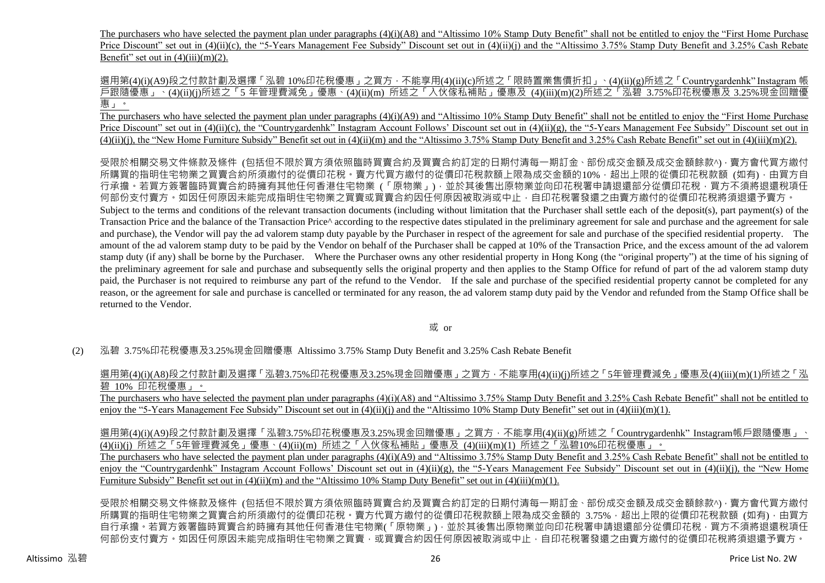The purchasers who have selected the payment plan under paragraphs (4)(i)(A8) and "Altissimo 10% Stamp Duty Benefit" shall not be entitled to enjoy the "First Home Purchase" Price Discount" set out in (4)(ii)(c), the "5-Years Management Fee Subsidy" Discount set out in (4)(ii)(j) and the "Altissimo 3.75% Stamp Duty Benefit and 3.25% Cash Rebate Benefit" set out in  $(4)(iii)(m)(2)$ .

選用第(4)(i)(A9)段之付款計劃及選擇「泓碧 10%印花稅優惠」之買方,不能享用(4)(ii)(c)所述之「限時置業售價折扣」、(4)(ii)(g)所述之「Countrygardenhk" Instagram 帳 戶跟隨優惠」、(4)(ii)(j)所述之「5 年管理費減免」優惠、(4)(ii)(m) 所述之「入伙傢私補貼」優惠及 (4)(iii)(m)(2)所述之「泓碧 3.75%印花稅優惠及 3.25%現金回贈優 惠」。

The purchasers who have selected the payment plan under paragraphs (4)(i)(A9) and "Altissimo 10% Stamp Duty Benefit" shall not be entitled to enjoy the "First Home Purchase Price Discount" set out in (4)(ii)(c), the "Countrygardenhk" Instagram Account Follows' Discount set out in (4)(ii)(g), the "5-Years Management Fee Subsidy" Discount set out in  $(4)(ii)(i)$ , the "New Home Furniture Subsidy" Benefit set out in  $(4)(ii)(m)$  and the "Altissimo 3.75% Stamp Duty Benefit and 3.25% Cash Rebate Benefit" set out in  $(4)(iii)(m)(2)$ .

受限於相關交易文件條款及條件 (包括但不限於買方須依照臨時買賣合約及買賣合約訂定的日期付清每一期訂金、部份成交金額及成交金額餘款^),賣方會代買方繳付 所購買的指明住宅物業之買賣合約所須繳付的從價印花稅。賣方代買方繳付的從價印花稅款額上限為成交金額的10%,超出上限的從價印花稅款額 (如有),由買方自 行承擔。若買方簽署臨時買賣合約時擁有其他任何香港住宅物業 (「原物業」) · 並於其後售出原物業並向印花稅署申請退還部分從價印花稅 · 買方不須將退還稅項任 何部份支付賣方。如因任何原因未能完成指明住宅物業之買賣或買賣合約因任何原因被取消或中止,自印花稅署發還之由賣方繳付的從價印花稅將須退還予賣方。 Subject to the terms and conditions of the relevant transaction documents (including without limitation that the Purchaser shall settle each of the deposit(s), part payment(s) of the Transaction Price and the balance of the Transaction Price<sup> $\land$ </sup> according to the respective dates stipulated in the preliminary agreement for sale and purchase and the agreement for sale and purchase), the Vendor will pay the ad valorem stamp duty payable by the Purchaser in respect of the agreement for sale and purchase of the specified residential property. The amount of the ad valorem stamp duty to be paid by the Vendor on behalf of the Purchaser shall be capped at 10% of the Transaction Price, and the excess amount of the ad valorem stamp duty (if any) shall be borne by the Purchaser. Where the Purchaser owns any other residential property in Hong Kong (the "original property") at the time of his signing of the preliminary agreement for sale and purchase and subsequently sells the original property and then applies to the Stamp Office for refund of part of the ad valorem stamp duty paid, the Purchaser is not required to reimburse any part of the refund to the Vendor. If the sale and purchase of the specified residential property cannot be completed for any reason, or the agreement for sale and purchase is cancelled or terminated for any reason, the ad valorem stamp duty paid by the Vendor and refunded from the Stamp Office shall be returned to the Vendor.

或 or

(2) 泓碧 3.75%印花稅優惠及3.25%現金回贈優惠 Altissimo 3.75% Stamp Duty Benefit and 3.25% Cash Rebate Benefit

選用第(4)(i)(A8)段之付款計劃及選擇「泓碧3.75%印花稅優惠及3.25%現金回贈優惠」之買方,不能享用(4)(ii)(i)所述之「5年管理費減免」優惠及(4)(iii)(m)(1)所述之「泓 碧 10% 印花稅優惠」。

The purchasers who have selected the payment plan under paragraphs (4)(i)(A8) and "Altissimo 3.75% Stamp Duty Benefit and 3.25% Cash Rebate Benefit" shall not be entitled to enjoy the "5-Years Management Fee Subsidy" Discount set out in (4)(ii)(j) and the "Altissimo 10% Stamp Duty Benefit" set out in (4)(iii)(m)(1).

選用第(4)(i)(A9)段之付款計劃及選擇「泓碧3.75%印花稅優惠及3.25%現金回贈優惠」之買方,不能享用(4)(ii)(g)所述之「Countrygardenhk"Instagram帳戶跟隨優惠」、 (4)(ii)(j) 所述之「5年管理費減免」優惠、(4)(ii)(m) 所述之「入伙傢私補貼」優惠及 (4)(iii)(m)(1) 所述之「泓碧10%印花稅優惠」。

The purchasers who have selected the payment plan under paragraphs (4)(i)(A9) and "Altissimo 3.75% Stamp Duty Benefit and 3.25% Cash Rebate Benefit" shall not be entitled to enjoy the "Countrygardenhk" Instagram Account Follows' Discount set out in (4)(ii)(g), the "5-Years Management Fee Subsidy" Discount set out in (4)(ii)(j), the "New Home Furniture Subsidy" Benefit set out in (4)(ii)(m) and the "Altissimo 10% Stamp Duty Benefit" set out in (4)(iii)(m)(1).

受限於相關交易文件條款及條件 (包括但不限於買方須依照臨時買賣合約及買賣合約訂定的日期付清每一期訂金、部份成交金額及成交金額餘款^), 賣方會代買方繳付 所購買的指明住宅物業之買賣合約所須繳付的從價印花稅。賣方代買方繳付的從價印花稅款額上限為成交金額的 3.75%,超出上限的從價印花稅款額 (如有),由買方 自行承擔。若買方簽署臨時買賣合約時擁有其他任何香港住宅物業(「原物業」),並於其後售出原物業並向印花稅署申請狠還部分從價印花稅,買方不須將退還 何部份支付賣方。如因任何原因未能完成指明住宅物業之買賣,或買賣合約因任何原因被取消或中止,自印花稅署發還之由賣方總付的從價印花稅將須退還予賣方。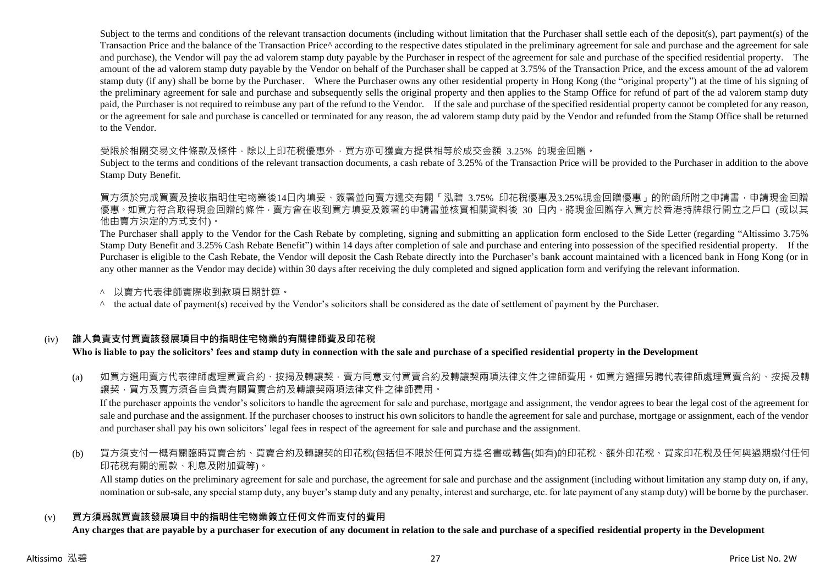Subject to the terms and conditions of the relevant transaction documents (including without limitation that the Purchaser shall settle each of the deposit(s), part payment(s) of the Transaction Price and the balance of the Transaction Price^ according to the respective dates stipulated in the preliminary agreement for sale and purchase and the agreement for sale and purchase), the Vendor will pay the ad valorem stamp duty payable by the Purchaser in respect of the agreement for sale and purchase of the specified residential property. The amount of the ad valorem stamp duty payable by the Vendor on behalf of the Purchaser shall be capped at 3.75% of the Transaction Price, and the excess amount of the ad valorem stamp duty (if any) shall be borne by the Purchaser. Where the Purchaser owns any other residential property in Hong Kong (the "original property") at the time of his signing of the preliminary agreement for sale and purchase and subsequently sells the original property and then applies to the Stamp Office for refund of part of the ad valorem stamp duty paid, the Purchaser is not required to reimbuse any part of the refund to the Vendor. If the sale and purchase of the specified residential property cannot be completed for any reason, or the agreement for sale and purchase is cancelled or terminated for any reason, the ad valorem stamp duty paid by the Vendor and refunded from the Stamp Office shall be returned to the Vendor.

受限於相關交易文件條款及條件,除以上印花稅優惠外,買方亦可獲賣方提供相等於成交金額 3.25% 的現金回贈。

Subject to the terms and conditions of the relevant transaction documents, a cash rebate of 3.25% of the Transaction Price will be provided to the Purchaser in addition to the above Stamp Duty Benefit.

買方須於完成買賣及接收指明住宅物業後14日內填妥、簽署並向賣方遞交有關「泓碧 3.75% 印花稅優惠及3.25%現金回贈優惠」的附函所附之申請書,申請現金回贈 優惠 。如買方符合取得現金回贈的條件 · 賣方會在收到買方填妥及簽署的申請書並核實相關資料後 30 日内 · 將現金回贈存入買方於香港持牌銀行開立之戶口 (或以其 他由賣方決定的方式支付)。

The Purchaser shall apply to the Vendor for the Cash Rebate by completing, signing and submitting an application form enclosed to the Side Letter (regarding "Altissimo 3.75% Stamp Duty Benefit and 3.25% Cash Rebate Benefit") within 14 days after completion of sale and purchase and entering into possession of the specified residential property. If the Purchaser is eligible to the Cash Rebate, the Vendor will deposit the Cash Rebate directly into the Purchaser's bank account maintained with a licenced bank in Hong Kong (or in any other manner as the Vendor may decide) within 30 days after receiving the duly completed and signed application form and verifying the relevant information.

- ^ 以賣方代表律師實際收到款項日期計算。
- $\land$  the actual date of payment(s) received by the Vendor's solicitors shall be considered as the date of settlement of payment by the Purchaser.

#### (iv) **誰人負責支付買賣該發展項目中的指明住宅物業的有關律師費及印花稅**

#### **Who is liable to pay the solicitors' fees and stamp duty in connection with the sale and purchase of a specified residential property in the Development**

(a) 如買方選用賣方代表律師處理買賣合約、按揭及轉讓契‧賣方同意支付買賣合約及轉讓契兩項法律文件之律師費用。如買方選擇另聘代表律師處理買賣合約、按揭及轉 讓契,買方及賣方須各自負責有關買賣合約及轉讓契兩項法律文件之律師費用。

If the purchaser appoints the vendor's solicitors to handle the agreement for sale and purchase, mortgage and assignment, the vendor agrees to bear the legal cost of the agreement for sale and purchase and the assignment. If the purchaser chooses to instruct his own solicitors to handle the agreement for sale and purchase, mortgage or assignment, each of the vendor and purchaser shall pay his own solicitors' legal fees in respect of the agreement for sale and purchase and the assignment.

(b) 買方須支付一概有關臨時買賣合約、買賣合約及轉讓契的印花稅(包括但不限於任何買方提名書或轉售(如有)的印花稅、額外印花稅、買家印花稅及任何與過期繳付任何 印花稅有關的罰款、利息及附加費等)。

All stamp duties on the preliminary agreement for sale and purchase, the agreement for sale and purchase and the assignment (including without limitation any stamp duty on, if any, nomination or sub-sale, any special stamp duty, any buyer's stamp duty and any penalty, interest and surcharge, etc. for late payment of any stamp duty) will be borne by the purchaser.

#### (v) **買方須爲就買賣該發展項目中的指明住宅物業簽立任何文件而支付的費用**

**Any charges that are payable by a purchaser for execution of any document in relation to the sale and purchase of a specified residential property in the Development**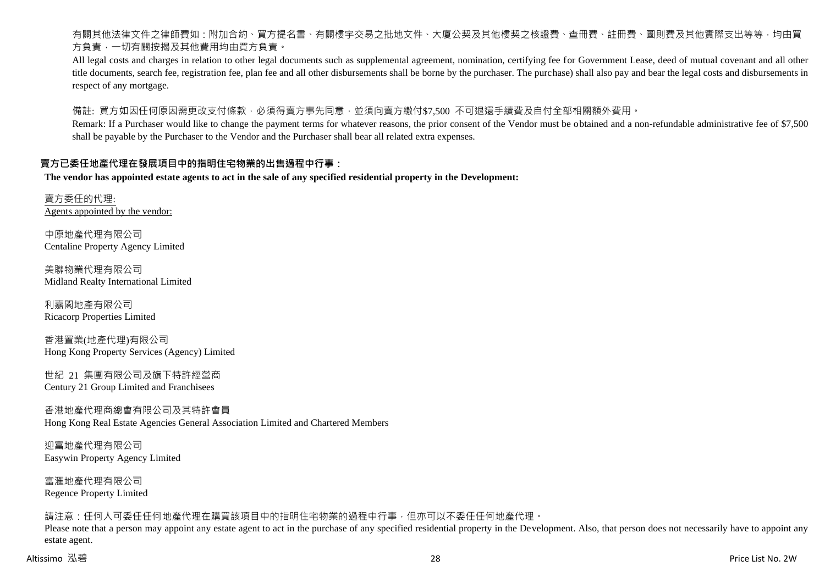有關其他法律文件之律師費如:附加合約、買方提名書、有關樓宇交易之批地文件、大廈公契及其他樓契之核證費、查冊費、註冊費、圖則費及其他實際支出等等,均由買 方負責,一切有關按揭及其他費用均由買方負責。

All legal costs and charges in relation to other legal documents such as supplemental agreement, nomination, certifying fee for Government Lease, deed of mutual covenant and all other title documents, search fee, registration fee, plan fee and all other disbursements shall be borne by the purchaser. The purchase) shall also pay and bear the legal costs and disbursements in respect of any mortgage.

備註: 買方如因任何原因需更改支付條款,必須得賣方事先同意,並須向賣方繳付\$7,500 不可退還手續費及自付全部相關額外費用。

Remark: If a Purchaser would like to change the payment terms for whatever reasons, the prior consent of the Vendor must be obtained and a non-refundable administrative fee of \$7,500 shall be payable by the Purchaser to the Vendor and the Purchaser shall bear all related extra expenses.

#### **賣方已委任地產代理在發展項目中的指明住宅物業的出售過程中行事:**

**The vendor has appointed estate agents to act in the sale of any specified residential property in the Development:**

賣方委任的代理: Agents appointed by the vendor:

中原地產代理有限公司 Centaline Property Agency Limited

美聯物業代理有限公司 Midland Realty International Limited

利嘉閣地產有限公司 Ricacorp Properties Limited

香港置業(地產代理)有限公司 Hong Kong Property Services (Agency) Limited

世紀 21 集團有限公司及旗下特許經營商 Century 21 Group Limited and Franchisees

香港地產代理商總會有限公司及其特許會員 Hong Kong Real Estate Agencies General Association Limited and Chartered Members

迎富地產代理有限公司 Easywin Property Agency Limited

富滙地產代理有限公司 Regence Property Limited

請注意:任何人可委任任何地產代理在購買該項目中的指明住宅物業的過程中行事,但亦可以不委任任何地產代理。

Please note that a person may appoint any estate agent to act in the purchase of any specified residential property in the Development. Also, that person does not necessarily have to appoint any estate agent.